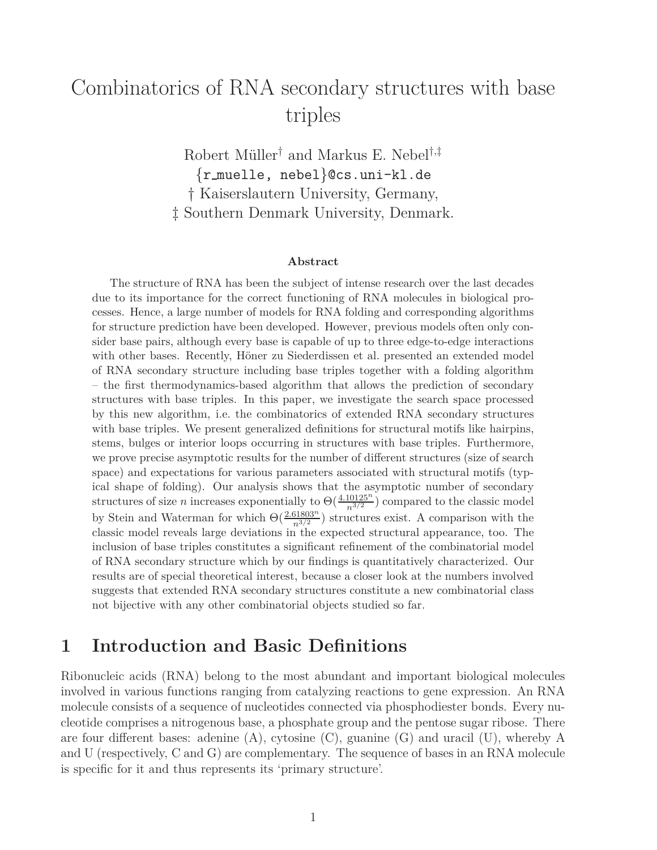# Combinatorics of RNA secondary structures with base triples

Robert Müller<sup>†</sup> and Markus E. Nebel<sup>†,‡</sup> {r muelle, nebel}@cs.uni-kl.de † Kaiserslautern University, Germany, ‡ Southern Denmark University, Denmark.

#### **Abstract**

The structure of RNA has been the subject of intense research over the last decades due to its importance for the correct functioning of RNA molecules in biological processes. Hence, a large number of models for RNA folding and corresponding algorithms for structure prediction have been developed. However, previous models often only consider base pairs, although every base is capable of up to three edge-to-edge interactions with other bases. Recently, Höner zu Siederdissen et al. presented an extended model of RNA secondary structure including base triples together with a folding algorithm – the first thermodynamics-based algorithm that allows the prediction of secondary structures with base triples. In this paper, we investigate the search space processed by this new algorithm, i.e. the combinatorics of extended RNA secondary structures with base triples. We present generalized definitions for structural motifs like hairpins, stems, bulges or interior loops occurring in structures with base triples. Furthermore, we prove precise asymptotic results for the number of different structures (size of search space) and expectations for various parameters associated with structural motifs (typical shape of folding). Our analysis shows that the asymptotic number of secondary structures of size *n* increases exponentially to  $\Theta(\frac{4.10125^n}{n^{3/2}})$  compared to the classic model by Stein and Waterman for which  $\Theta(\frac{2.61803^n}{n^{3/2}})$  structures exist. A comparison with the classic model reveals large deviations in the expected structural appearance, too. The inclusion of base triples constitutes a significant refinement of the combinatorial model of RNA secondary structure which by our findings is quantitatively characterized. Our results are of special theoretical interest, because a closer look at the numbers involved suggests that extended RNA secondary structures constitute a new combinatorial class not bijective with any other combinatorial objects studied so far.

### **1 Introduction and Basic Definitions**

Ribonucleic acids (RNA) belong to the most abundant and important biological molecules involved in various functions ranging from catalyzing reactions to gene expression. An RNA molecule consists of a sequence of nucleotides connected via phosphodiester bonds. Every nucleotide comprises a nitrogenous base, a phosphate group and the pentose sugar ribose. There are four different bases: adenine (A), cytosine (C), guanine (G) and uracil (U), whereby A and U (respectively, C and G) are complementary. The sequence of bases in an RNA molecule is specific for it and thus represents its 'primary structure'.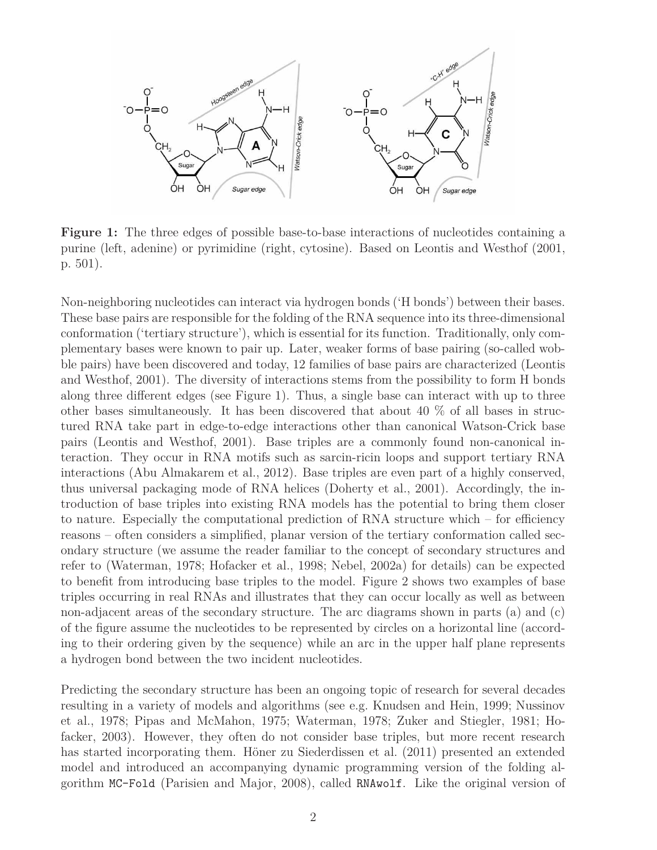

**Figure 1:** The three edges of possible base-to-base interactions of nucleotides containing a purine (left, adenine) or pyrimidine (right, cytosine). Based on Leontis and Westhof (2001, p. 501).

Non-neighboring nucleotides can interact via hydrogen bonds ('H bonds') between their bases. These base pairs are responsible for the folding of the RNA sequence into its three-dimensional conformation ('tertiary structure'), which is essential for its function. Traditionally, only complementary bases were known to pair up. Later, weaker forms of base pairing (so-called wobble pairs) have been discovered and today, 12 families of base pairs are characterized (Leontis and Westhof, 2001). The diversity of interactions stems from the possibility to form H bonds along three different edges (see Figure 1). Thus, a single base can interact with up to three other bases simultaneously. It has been discovered that about 40 % of all bases in structured RNA take part in edge-to-edge interactions other than canonical Watson-Crick base pairs (Leontis and Westhof, 2001). Base triples are a commonly found non-canonical interaction. They occur in RNA motifs such as sarcin-ricin loops and support tertiary RNA interactions (Abu Almakarem et al., 2012). Base triples are even part of a highly conserved, thus universal packaging mode of RNA helices (Doherty et al., 2001). Accordingly, the introduction of base triples into existing RNA models has the potential to bring them closer to nature. Especially the computational prediction of RNA structure which  $-$  for efficiency reasons – often considers a simplified, planar version of the tertiary conformation called secondary structure (we assume the reader familiar to the concept of secondary structures and refer to (Waterman, 1978; Hofacker et al., 1998; Nebel, 2002a) for details) can be expected to benefit from introducing base triples to the model. Figure 2 shows two examples of base triples occurring in real RNAs and illustrates that they can occur locally as well as between non-adjacent areas of the secondary structure. The arc diagrams shown in parts (a) and (c) of the figure assume the nucleotides to be represented by circles on a horizontal line (according to their ordering given by the sequence) while an arc in the upper half plane represents a hydrogen bond between the two incident nucleotides.

Predicting the secondary structure has been an ongoing topic of research for several decades resulting in a variety of models and algorithms (see e.g. Knudsen and Hein, 1999; Nussinov et al., 1978; Pipas and McMahon, 1975; Waterman, 1978; Zuker and Stiegler, 1981; Hofacker, 2003). However, they often do not consider base triples, but more recent research has started incorporating them. Höner zu Siederdissen et al. (2011) presented an extended model and introduced an accompanying dynamic programming version of the folding algorithm MC-Fold (Parisien and Major, 2008), called RNAwolf. Like the original version of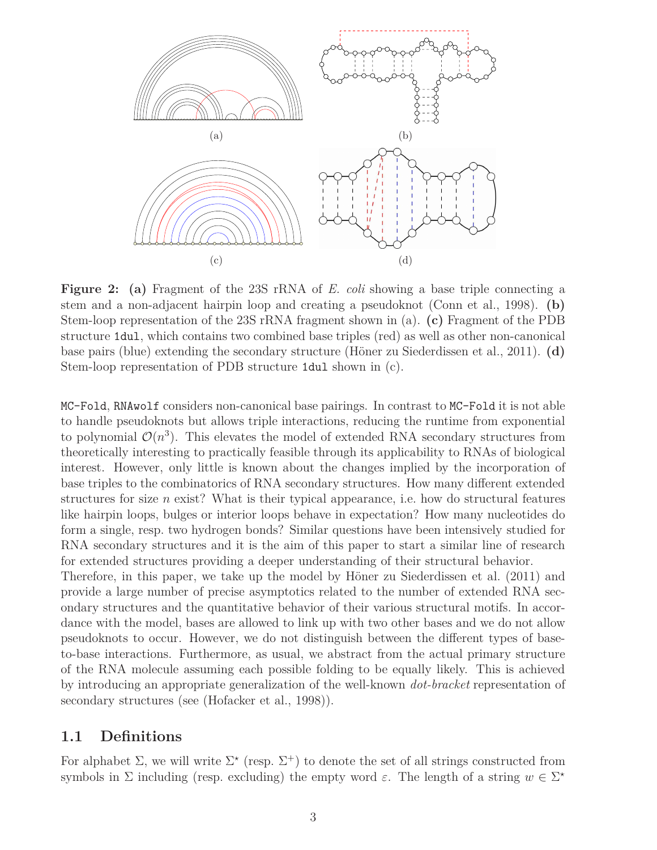

**Figure 2: (a)** Fragment of the 23S rRNA of *E. coli* showing a base triple connecting a stem and a non-adjacent hairpin loop and creating a pseudoknot (Conn et al., 1998). **(b)** Stem-loop representation of the 23S rRNA fragment shown in (a). **(c)** Fragment of the PDB structure 1dul, which contains two combined base triples (red) as well as other non-canonical base pairs (blue) extending the secondary structure (Höner zu Siederdissen et al., 2011). **(d)** Stem-loop representation of PDB structure 1dul shown in (c).

MC-Fold, RNAwolf considers non-canonical base pairings. In contrast to MC-Fold it is not able to handle pseudoknots but allows triple interactions, reducing the runtime from exponential to polynomial  $\mathcal{O}(n^3)$ . This elevates the model of extended RNA secondary structures from theoretically interesting to practically feasible through its applicability to RNAs of biological interest. However, only little is known about the changes implied by the incorporation of base triples to the combinatorics of RNA secondary structures. How many different extended structures for size *n* exist? What is their typical appearance, i.e. how do structural features like hairpin loops, bulges or interior loops behave in expectation? How many nucleotides do form a single, resp. two hydrogen bonds? Similar questions have been intensively studied for RNA secondary structures and it is the aim of this paper to start a similar line of research for extended structures providing a deeper understanding of their structural behavior.

Therefore, in this paper, we take up the model by Höner zu Siederdissen et al. (2011) and provide a large number of precise asymptotics related to the number of extended RNA secondary structures and the quantitative behavior of their various structural motifs. In accordance with the model, bases are allowed to link up with two other bases and we do not allow pseudoknots to occur. However, we do not distinguish between the different types of baseto-base interactions. Furthermore, as usual, we abstract from the actual primary structure of the RNA molecule assuming each possible folding to be equally likely. This is achieved by introducing an appropriate generalization of the well-known *dot-bracket* representation of secondary structures (see (Hofacker et al., 1998)).

#### **1.1 Definitions**

For alphabet  $\Sigma$ , we will write  $\Sigma^*$  (resp.  $\Sigma^+$ ) to denote the set of all strings constructed from symbols in  $\Sigma$  including (resp. excluding) the empty word  $\varepsilon$ . The length of a string  $w \in \Sigma^*$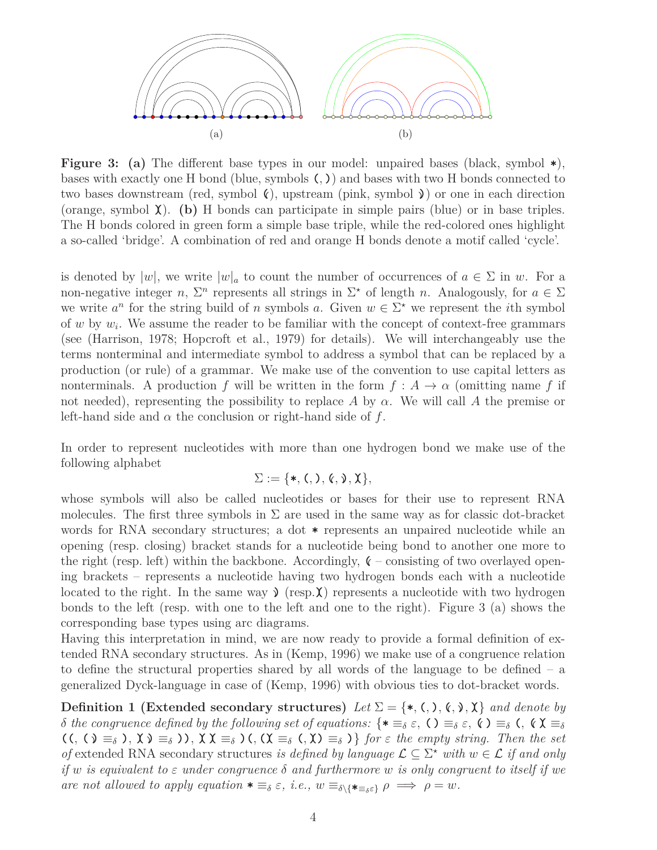

**Figure 3: (a)** The different base types in our model: unpaired bases (black, symbol **\***), bases with exactly one H bond (blue, symbols **(***,* **)**) and bases with two H bonds connected to two bases downstream (red, symbol **((**), upstream (pink, symbol **((**) or one in each direction (orange, symbol  $\chi$ ). (b) H bonds can participate in simple pairs (blue) or in base triples. The H bonds colored in green form a simple base triple, while the red-colored ones highlight a so-called 'bridge'. A combination of red and orange H bonds denote a motif called 'cycle'.

is denoted by  $|w|$ , we write  $|w|_a$  to count the number of occurrences of  $a \in \Sigma$  in w. For a non-negative integer *n*,  $\Sigma^n$  represents all strings in  $\Sigma^*$  of length *n*. Analogously, for  $a \in \Sigma$ we write  $a^n$  for the string build of *n* symbols *a*. Given  $w \in \Sigma^*$  we represent the *i*th symbol of *w* by *w<sup>i</sup>* . We assume the reader to be familiar with the concept of context-free grammars (see (Harrison, 1978; Hopcroft et al., 1979) for details). We will interchangeably use the terms nonterminal and intermediate symbol to address a symbol that can be replaced by a production (or rule) of a grammar. We make use of the convention to use capital letters as nonterminals. A production *f* will be written in the form  $f : A \rightarrow \alpha$  (omitting name *f* if not needed), representing the possibility to replace *A* by  $\alpha$ . We will call *A* the premise or left-hand side and  $\alpha$  the conclusion or right-hand side of  $f$ .

In order to represent nucleotides with more than one hydrogen bond we make use of the following alphabet

$$
\Sigma:=\{\ast,\mathbf{(\,,\,)},\mathbf{(\,,\,)},\mathbf{X}\},
$$

whose symbols will also be called nucleotides or bases for their use to represent RNA molecules. The first three symbols in  $\Sigma$  are used in the same way as for classic dot-bracket words for RNA secondary structures; a dot **\*** represents an unpaired nucleotide while an opening (resp. closing) bracket stands for a nucleotide being bond to another one more to the right (resp. left) within the backbone. Accordingly,  $\zeta$  – consisting of two overlayed opening brackets – represents a nucleotide having two hydrogen bonds each with a nucleotide located to the right. In the same way  $\lambda$  (resp.  $\chi$ ) represents a nucleotide with two hydrogen bonds to the left (resp. with one to the left and one to the right). Figure 3 (a) shows the corresponding base types using arc diagrams.

Having this interpretation in mind, we are now ready to provide a formal definition of extended RNA secondary structures. As in (Kemp, 1996) we make use of a congruence relation to define the structural properties shared by all words of the language to be defined – a generalized Dyck-language in case of (Kemp, 1996) with obvious ties to dot-bracket words.

**Definition 1 (Extended secondary structures)** Let  $\Sigma = \{*, (,), (,), \mathbf{\hat{X}}, \mathbf{\hat{X}}\}$  and denote by *δ the congruence defined by the following set of equations:* { $\ast \equiv_{\delta} \varepsilon$ , **()**  $\equiv_{\delta} \varepsilon$ , **()**  $\equiv_{\delta}$  **(,**  $\zeta \times \equiv_{\delta}$  $((, \Diamond \equiv_{\delta} ), \chi \supset \equiv_{\delta} ))$ ,  $\chi \chi \equiv_{\delta} (, \chi \equiv_{\delta} (, \chi \supset \equiv_{\delta} )\}$  for  $\varepsilon$  the empty string. Then the set *of* extended RNA secondary structures *is defined by language*  $\mathcal{L} \subseteq \Sigma^*$  *with*  $w \in \mathcal{L}$  *if and only if w is equivalent to ε under congruence δ and furthermore w is only congruent to itself if we are not allowed to apply equation*  $\ast \equiv_{\delta} \varepsilon$ *, i.e.,*  $w \equiv_{\delta \setminus {\{\star} \equiv_{\delta} \varepsilon}} \rho \implies \rho = w$ .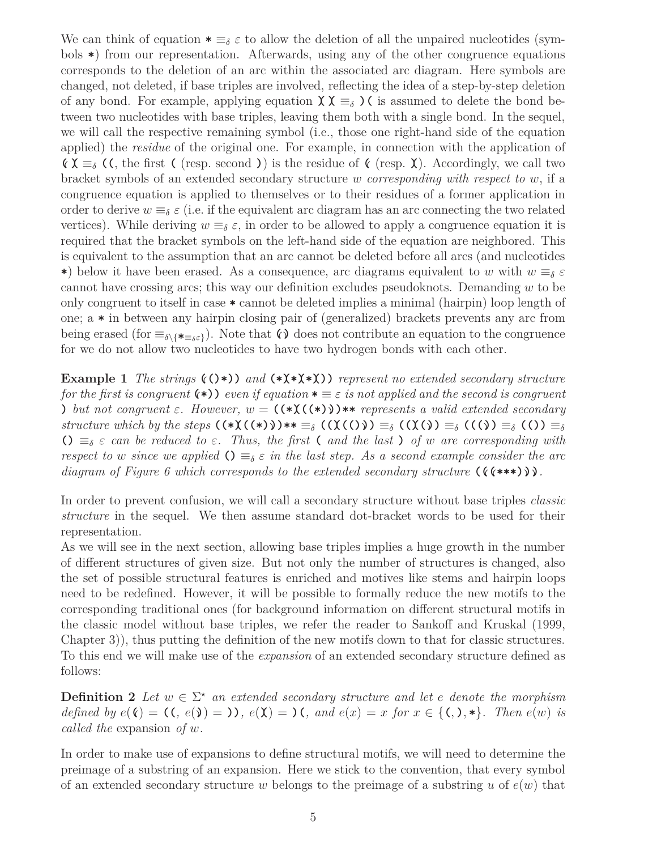We can think of equation  $\ast \equiv_{\delta} \varepsilon$  to allow the deletion of all the unpaired nucleotides (symbols **\***) from our representation. Afterwards, using any of the other congruence equations corresponds to the deletion of an arc within the associated arc diagram. Here symbols are changed, not deleted, if base triples are involved, reflecting the idea of a step-by-step deletion of any bond. For example, applying equation  $\chi \chi \equiv_{\delta}$  ) (is assumed to delete the bond between two nucleotides with base triples, leaving them both with a single bond. In the sequel, we will call the respective remaining symbol (i.e., those one right-hand side of the equation applied) the *residue* of the original one. For example, in connection with the application of **(** $\uparrow$  $\uparrow$  $\uparrow$  $\uparrow$  $\downarrow$  $\uparrow$  $\downarrow$  $\uparrow$  $\uparrow$  $\uparrow$  $\uparrow$  $\uparrow$  $\uparrow$  $\uparrow$  $\uparrow$  $\uparrow$  $\uparrow$  $\uparrow$  $\uparrow$  $\uparrow$  $\uparrow$  $\uparrow$  $\uparrow$  $\uparrow$  $\uparrow$  $\uparrow$  $\uparrow$  $\uparrow$  $\uparrow$  $\uparrow$  $\uparrow$  $\uparrow$  $\uparrow$  $\uparrow$  $\uparrow$  $\uparrow$ bracket symbols of an extended secondary structure *w corresponding with respect to w*, if a congruence equation is applied to themselves or to their residues of a former application in order to derive  $w \equiv_{\delta} \varepsilon$  (i.e. if the equivalent arc diagram has an arc connecting the two related vertices). While deriving  $w \equiv_{\delta} \varepsilon$ , in order to be allowed to apply a congruence equation it is required that the bracket symbols on the left-hand side of the equation are neighbored. This is equivalent to the assumption that an arc cannot be deleted before all arcs (and nucleotides **\***) below it have been erased. As a consequence, arc diagrams equivalent to *w* with  $w \equiv_{\delta} \varepsilon$ cannot have crossing arcs; this way our definition excludes pseudoknots. Demanding *w* to be only congruent to itself in case **\*** cannot be deleted implies a minimal (hairpin) loop length of one; a **\*** in between any hairpin closing pair of (generalized) brackets prevents any arc from being erased (for  $\equiv_{\delta\setminus\{\ast\equiv_{\delta\epsilon}\}}$ ). Note that  $\zeta$  does not contribute an equation to the congruence for we do not allow two nucleotides to have two hydrogen bonds with each other.

**Example 1** *The strings*  $((\cdot))$  *and*  $(*(\cdot))$  *represent no extended secondary structure for the first is congruent*  $(\ast)$ ) *even if equation*  $\ast \equiv \epsilon$  *is not applied and the second is congruent* **)** *but not congruent*  $\varepsilon$ *. However,*  $w = (\star)(\star)(\star))$  **\*\*** *represents a valid extended secondary* structure which by the steps  $(\ast \chi((\ast))\ast \ast \equiv_{\delta} (\chi((\delta))) \equiv_{\delta} (\chi(\delta)) \equiv_{\delta} (\chi(\delta)) \equiv_{\delta} (\delta)) \equiv_{\delta}$ **()**  $\equiv_{\delta} \varepsilon$  *can be reduced to*  $\varepsilon$ *. Thus, the first* **(** *and the last* **)** *of w are corresponding with respect to w since* we applied  $\mathcal{O} \equiv_{\delta} \varepsilon$  *in the last step. As a second example consider the arc diagram of Figure 6 which corresponds to the extended secondary structure* **(((((\*\*\*) (((***.***(**

In order to prevent confusion, we will call a secondary structure without base triples *classic structure* in the sequel. We then assume standard dot-bracket words to be used for their representation.

As we will see in the next section, allowing base triples implies a huge growth in the number of different structures of given size. But not only the number of structures is changed, also the set of possible structural features is enriched and motives like stems and hairpin loops need to be redefined. However, it will be possible to formally reduce the new motifs to the corresponding traditional ones (for background information on different structural motifs in the classic model without base triples, we refer the reader to Sankoff and Kruskal (1999, Chapter 3)), thus putting the definition of the new motifs down to that for classic structures. To this end we will make use of the *expansion* of an extended secondary structure defined as follows:

**Definition 2** *Let*  $w \in \Sigma^*$  *an extended secondary structure and let e denote the morphism* defined by  $e(\zeta) = (\zeta, e(\zeta)) = 0$ ,  $e(\zeta) = 0$ , and  $e(x) = x$  for  $x \in \{(\zeta, \zeta), \zeta\}$ . Then  $e(w)$  is *called the* expansion *of w.*

In order to make use of expansions to define structural motifs, we will need to determine the preimage of a substring of an expansion. Here we stick to the convention, that every symbol of an extended secondary structure *w* belongs to the preimage of a substring *u* of *e*(*w*) that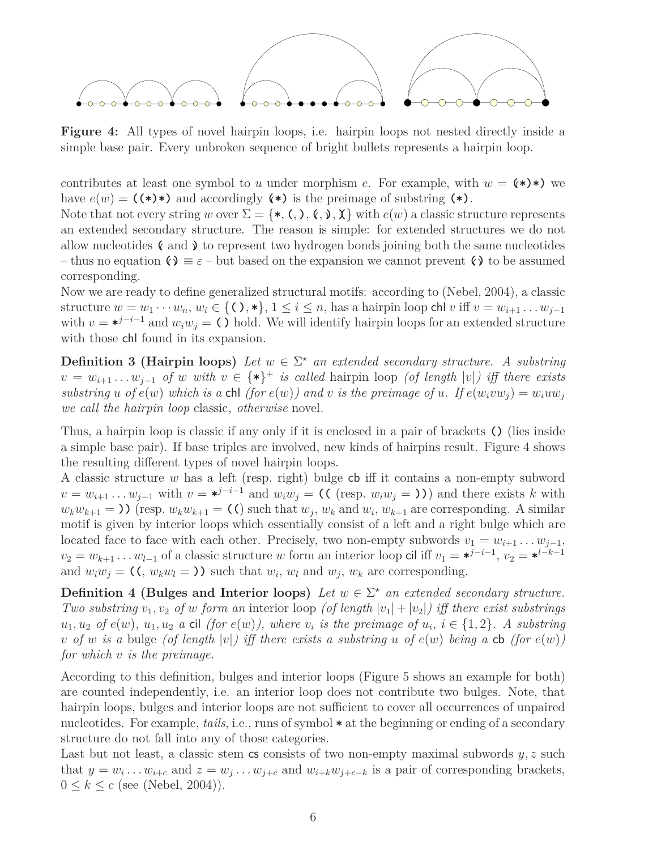

**Figure 4:** All types of novel hairpin loops, i.e. hairpin loops not nested directly inside a simple base pair. Every unbroken sequence of bright bullets represents a hairpin loop.

contributes at least one symbol to *u* under morphism *e*. For example, with  $w = (\ast \ast)$  we have  $e(w) = (\star \star \star)$  and accordingly  $(\star)$  is the preimage of substring  $(\star)$ .

Note that not every string *w* over  $\Sigma = \{*, \leq, \leq, \leq, \leq \}$  with  $e(w)$  a classic structure represents an extended secondary structure. The reason is simple: for extended structures we do not allow nucleotides  $\zeta$  and  $\zeta$  to represent two hydrogen bonds joining both the same nucleotides – thus no equation  $\mathbf{Q} \equiv \varepsilon$  – but based on the expansion we cannot prevent  $\mathbf{Q}$  to be assumed corresponding.

Now we are ready to define generalized structural motifs: according to (Nebel, 2004), a classic structure  $w = w_1 \cdots w_n$ ,  $w_i \in \{(),\ast\}, 1 \leq i \leq n$ , has a hairpin loop chl *v* iff  $v = w_{i+1} \ldots w_{i-1}$ with  $v = *^{j-i-1}$  and  $w_iw_j = C$  hold. We will identify hairpin loops for an extended structure with those chl found in its expansion.

**Definition 3 (Hairpin loops)** Let  $w \in \Sigma^*$  an extended secondary structure. A substring  $v = w_{i+1} \ldots w_{j-1}$  *of w with*  $v \in {\ast}^*$  *is called* hairpin loop *(of length*  $|v|$ *) iff there exists* substring u of  $e(w)$  which is a chi (for  $e(w)$ ) and v is the preimage of u. If  $e(w_ivw_j) = w_iuw_j$ *we call the hairpin loop* classic*, otherwise* novel*.*

Thus, a hairpin loop is classic if any only if it is enclosed in a pair of brackets **()** (lies inside a simple base pair). If base triples are involved, new kinds of hairpins result. Figure 4 shows the resulting different types of novel hairpin loops.

A classic structure *w* has a left (resp. right) bulge cb iff it contains a non-empty subword  $v = w_{i+1} \dots w_{j-1}$  with  $v = *^{j-i-1}$  and  $w_i w_j = (\text{((resp. } w_i w_j = \text{))})$  and there exists k with  $w_k w_{k+1} =$  **)** (resp.  $w_k w_{k+1} =$  (() such that  $w_j$ ,  $w_k$  and  $w_i$ ,  $w_{k+1}$  are corresponding. A similar motif is given by interior loops which essentially consist of a left and a right bulge which are located face to face with each other. Precisely, two non-empty subwords  $v_1 = w_{i+1} \ldots w_{j-1}$ ,  $v_2 = w_{k+1} \dots w_{l-1}$  of a classic structure *w* form an interior loop cil iff  $v_1 = \star^{j-i-1}$ ,  $v_2 = \star^{l-k-1}$ and  $w_i w_j = (\zeta, w_k w_l = \zeta)$  such that  $w_i, w_l$  and  $w_j, w_k$  are corresponding.

**Definition 4 (Bulges and Interior loops)** *Let*  $w \in \Sigma^*$  *an extended secondary structure. Two substring*  $v_1, v_2$  *of w form an* interior loop (*of length*  $|v_1| + |v_2|$ ) *iff there exist substrings*  $u_1, u_2$  of  $e(w)$ ,  $u_1, u_2$  a cil (for  $e(w)$ ), where  $v_i$  is the preimage of  $u_i$ ,  $i \in \{1, 2\}$ . A substring *v of w is a* bulge (*of length*  $|v|$ *) iff there exists a substring u of*  $e(w)$  *being a* **cb** (for  $e(w)$ ) *for which v is the preimage.*

According to this definition, bulges and interior loops (Figure 5 shows an example for both) are counted independently, i.e. an interior loop does not contribute two bulges. Note, that hairpin loops, bulges and interior loops are not sufficient to cover all occurrences of unpaired nucleotides. For example, *tails*, i.e., runs of symbol **\*** at the beginning or ending of a secondary structure do not fall into any of those categories.

Last but not least, a classic stem cs consists of two non-empty maximal subwords  $y, z$  such that  $y = w_i \dots w_{i+c}$  and  $z = w_j \dots w_{j+c}$  and  $w_{i+k}w_{j+c-k}$  is a pair of corresponding brackets,  $0 \leq k \leq c$  (see (Nebel, 2004)).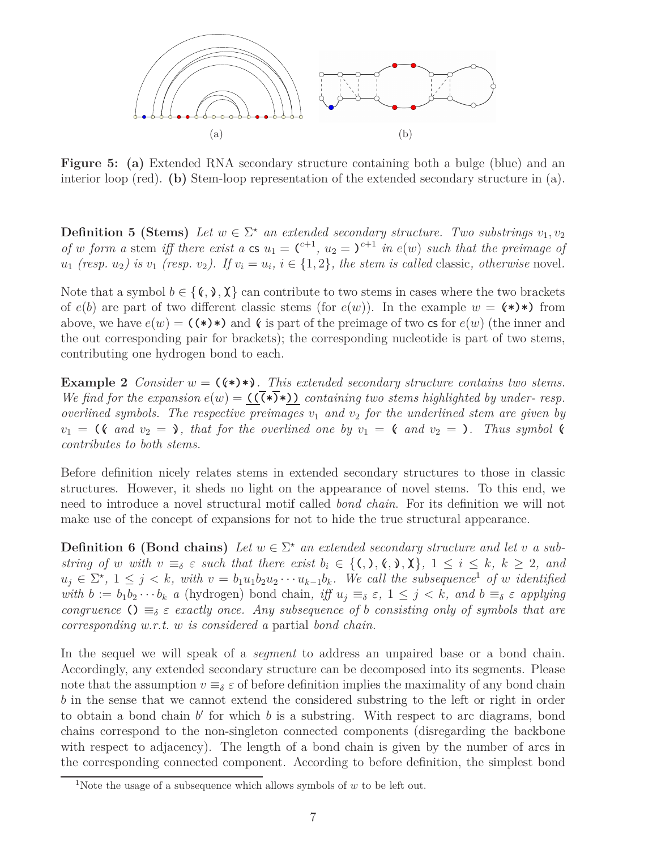

**Figure 5: (a)** Extended RNA secondary structure containing both a bulge (blue) and an interior loop (red). **(b)** Stem-loop representation of the extended secondary structure in (a).

**Definition 5 (Stems)** Let  $w \in \Sigma^*$  an extended secondary structure. Two substrings  $v_1, v_2$ *of w form a* stem *iff there exist a* **cs**  $u_1 = C^{+1}$ ,  $u_2 = C^{+1}$  *in*  $e(w)$  *such that the preimage of*  $u_1$  (resp.  $u_2$ ) is  $v_1$  (resp.  $v_2$ ). If  $v_i = u_i$ ,  $i \in \{1, 2\}$ , the stem is called classic, otherwise novel.

Note that a symbol  $b \in \{(\mathbf{x}, \mathbf{y}, \mathbf{X})\}$  can contribute to two stems in cases where the two brackets of  $e(b)$  are part of two different classic stems (for  $e(w)$ ). In the example  $w = (\ast \ast)$  from above, we have  $e(w) = (\star) \star$  and  $\zeta$  is part of the preimage of two cs for  $e(w)$  (the inner and the out corresponding pair for brackets); the corresponding nucleotide is part of two stems, contributing one hydrogen bond to each.

**Example 2** *Consider*  $w = (\langle \cdot \rangle \cdot \rangle)$ . This extended secondary structure contains two stems. *We find for the expansion*  $e(w) = (\overline{(\cdot)}\cdot)(\cdot)$  *containing two stems highlighted by under-resp. overlined symbols. The respective preimages v*<sup>1</sup> *and v*<sup>2</sup> *for the underlined stem are given by*  $v_1 =$  **(***c and*  $v_2 =$  *), that for the overlined one by*  $v_1 =$  *( and*  $v_2 =$  *). Thus symbol ( contributes to both stems.*

Before definition nicely relates stems in extended secondary structures to those in classic structures. However, it sheds no light on the appearance of novel stems. To this end, we need to introduce a novel structural motif called *bond chain*. For its definition we will not make use of the concept of expansions for not to hide the true structural appearance.

**Definition 6 (Bond chains)** Let  $w \in \Sigma^*$  an extended secondary structure and let *v* a substring of w with  $v \equiv_{\delta} \varepsilon$  such that there exist  $b_i \in \{(),%,\,\lambda\}, 1 \leq i \leq k, k \geq 2,$  and  $u_j \in \Sigma^{\star}$ ,  $1 \leq j \leq k$ , with  $v = b_1 u_1 b_2 u_2 \cdots u_{k-1} b_k$ . We call the subsequence<sup>1</sup> of w identified with  $b := b_1b_2 \cdots b_k$  a (hydrogen) bond chain, iff  $u_j \equiv_{\delta} \varepsilon$ ,  $1 \leq j \leq k$ , and  $b \equiv_{\delta} \varepsilon$  applying *congruence*  $\Omega = \delta \varepsilon$  *exactly once. Any subsequence of b consisting only of symbols that are corresponding w.r.t. w is considered a* partial *bond chain.*

In the sequel we will speak of a *segment* to address an unpaired base or a bond chain. Accordingly, any extended secondary structure can be decomposed into its segments. Please note that the assumption  $v \equiv_{\delta} \varepsilon$  of before definition implies the maximality of any bond chain *b* in the sense that we cannot extend the considered substring to the left or right in order to obtain a bond chain  $b'$  for which  $b$  is a substring. With respect to arc diagrams, bond chains correspond to the non-singleton connected components (disregarding the backbone with respect to adjacency). The length of a bond chain is given by the number of arcs in the corresponding connected component. According to before definition, the simplest bond

<sup>&</sup>lt;sup>1</sup>Note the usage of a subsequence which allows symbols of  $w$  to be left out.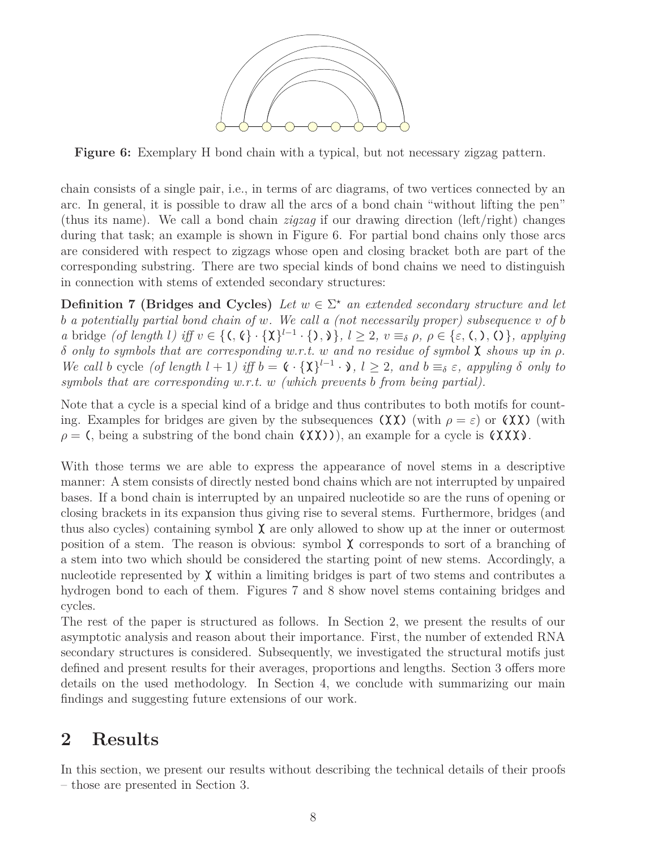

**Figure 6:** Exemplary H bond chain with a typical, but not necessary zigzag pattern.

chain consists of a single pair, i.e., in terms of arc diagrams, of two vertices connected by an arc. In general, it is possible to draw all the arcs of a bond chain "without lifting the pen" (thus its name). We call a bond chain *zigzag* if our drawing direction (left/right) changes during that task; an example is shown in Figure 6. For partial bond chains only those arcs are considered with respect to zigzags whose open and closing bracket both are part of the corresponding substring. There are two special kinds of bond chains we need to distinguish in connection with stems of extended secondary structures:

**Definition 7 (Bridges and Cycles)** *Let*  $w \in \Sigma^*$  *an extended secondary structure and let b a potentially partial bond chain of w. We call a (not necessarily proper) subsequence v of b* a bridge *(of length l)* iff  $v \in \{(\mathcal{C}, \mathcal{C}) \cdot \{\mathbf{X}\}^{l-1} \cdot \{\mathbf{0}, \mathbf{0}\}, l \geq 2, v \equiv_{\delta} \rho, \rho \in \{\varepsilon, \mathcal{C}, \mathbf{0}, \mathbf{0}\},\$ applying *δ only to symbols that are corresponding w.r.t. w and no residue of symbol* **)(** *shows up in ρ.* We call b cycle (of length  $l + 1$ ) iff  $b = \mathfrak{c} \cdot {\chi}^{l-1} \cdot \mathfrak{d}$ ,  $l \geq 2$ , and  $b \equiv_{\delta} \varepsilon$ , appyling  $\delta$  only to *symbols that are corresponding w.r.t. w (which prevents b from being partial).*

Note that a cycle is a special kind of a bridge and thus contributes to both motifs for counting. Examples for bridges are given by the subsequences  $(\chi \chi)$  (with  $\rho = \varepsilon$ ) or  $(\chi \chi)$  (with  $\rho = ($ , being a substring of the bond chain  $(\lambda \chi)$ ), an example for a cycle is  $(\lambda \chi)$ .

With those terms we are able to express the appearance of novel stems in a descriptive manner: A stem consists of directly nested bond chains which are not interrupted by unpaired bases. If a bond chain is interrupted by an unpaired nucleotide so are the runs of opening or closing brackets in its expansion thus giving rise to several stems. Furthermore, bridges (and thus also cycles) containing symbol  $\chi$  are only allowed to show up at the inner or outermost position of a stem. The reason is obvious: symbol  $\chi$  corresponds to sort of a branching of a stem into two which should be considered the starting point of new stems. Accordingly, a nucleotide represented by  $\chi$  within a limiting bridges is part of two stems and contributes a hydrogen bond to each of them. Figures 7 and 8 show novel stems containing bridges and cycles.

The rest of the paper is structured as follows. In Section 2, we present the results of our asymptotic analysis and reason about their importance. First, the number of extended RNA secondary structures is considered. Subsequently, we investigated the structural motifs just defined and present results for their averages, proportions and lengths. Section 3 offers more details on the used methodology. In Section 4, we conclude with summarizing our main findings and suggesting future extensions of our work.

## **2 Results**

In this section, we present our results without describing the technical details of their proofs – those are presented in Section 3.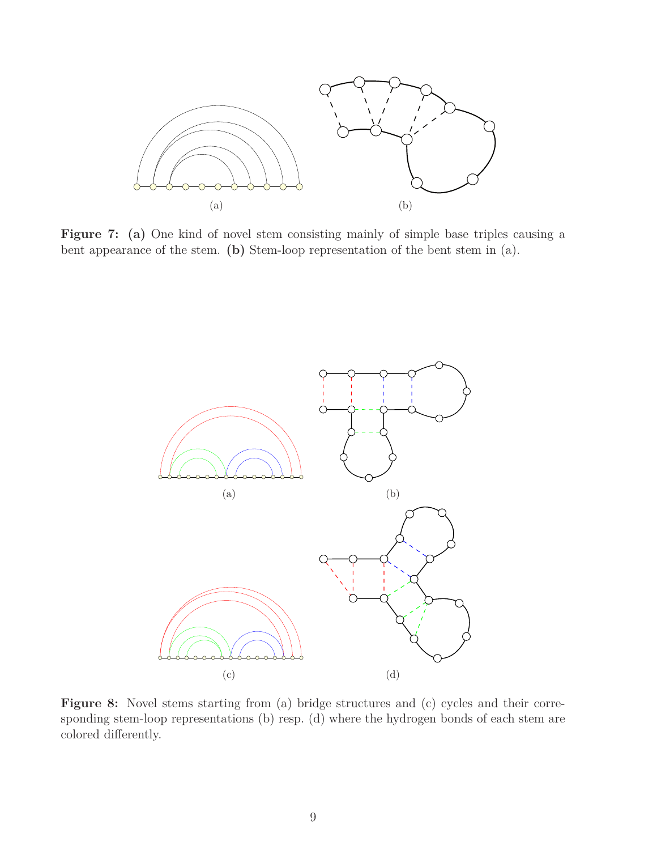

Figure 7: (a) One kind of novel stem consisting mainly of simple base triples causing a bent appearance of the stem. **(b)** Stem-loop representation of the bent stem in (a).



Figure 8: Novel stems starting from (a) bridge structures and (c) cycles and their corresponding stem-loop representations (b) resp. (d) where the hydrogen bonds of each stem are colored differently.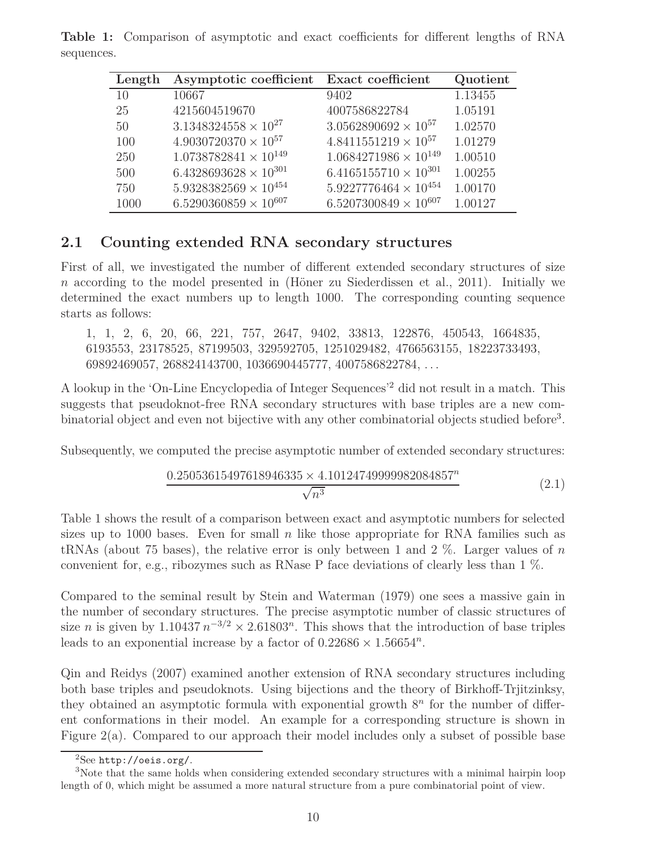| Length | Asymptotic coefficient         | <b>Exact coefficient</b>       | Quotient |
|--------|--------------------------------|--------------------------------|----------|
| 10     | 10667                          | 9402                           | 1.13455  |
| 25     | 4215604519670                  | 4007586822784                  | 1.05191  |
| 50     | $3.1348324558 \times 10^{27}$  | $3.0562890692 \times 10^{57}$  | 1.02570  |
| 100    | $4.9030720370 \times 10^{57}$  | $4.8411551219 \times 10^{57}$  | 1.01279  |
| 250    | $1.0738782841 \times 10^{149}$ | $1.0684271986 \times 10^{149}$ | 1.00510  |
| 500    | $6.4328693628 \times 10^{301}$ | $6.4165155710 \times 10^{301}$ | 1.00255  |
| 750    | $5.9328382569 \times 10^{454}$ | $5.9227776464 \times 10^{454}$ | 1.00170  |
| 1000   | $6.5290360859 \times 10^{607}$ | $6.5207300849 \times 10^{607}$ | 1.00127  |

**Table 1:** Comparison of asymptotic and exact coefficients for different lengths of RNA sequences.

#### **2.1 Counting extended RNA secondary structures**

First of all, we investigated the number of different extended secondary structures of size  $n$  according to the model presented in (Höner zu Siederdissen et al., 2011). Initially we determined the exact numbers up to length 1000. The corresponding counting sequence starts as follows:

1, 1, 2, 6, 20, 66, 221, 757, 2647, 9402, 33813, 122876, 450543, 1664835, 6193553, 23178525, 87199503, 329592705, 1251029482, 4766563155, 18223733493, 69892469057, 268824143700, 1036690445777, 4007586822784, . . .

A lookup in the 'On-Line Encyclopedia of Integer Sequences'<sup>2</sup> did not result in a match. This suggests that pseudoknot-free RNA secondary structures with base triples are a new combinatorial object and even not bijective with any other combinatorial objects studied before<sup>3</sup>.

Subsequently, we computed the precise asymptotic number of extended secondary structures:

$$
\frac{0.25053615497618946335 \times 4.10124749999982084857^n}{\sqrt{n^3}}\tag{2.1}
$$

Table 1 shows the result of a comparison between exact and asymptotic numbers for selected sizes up to 1000 bases. Even for small  $n$  like those appropriate for RNA families such as tRNAs (about 75 bases), the relative error is only between 1 and 2 %. Larger values of *n* convenient for, e.g., ribozymes such as RNase P face deviations of clearly less than 1 %.

Compared to the seminal result by Stein and Waterman (1979) one sees a massive gain in the number of secondary structures. The precise asymptotic number of classic structures of size *n* is given by  $1.10437 n^{-3/2} \times 2.61803^n$ . This shows that the introduction of base triples leads to an exponential increase by a factor of  $0.22686 \times 1.56654^n$ .

Qin and Reidys (2007) examined another extension of RNA secondary structures including both base triples and pseudoknots. Using bijections and the theory of Birkhoff-Trjitzinksy, they obtained an asymptotic formula with exponential growth  $8<sup>n</sup>$  for the number of different conformations in their model. An example for a corresponding structure is shown in Figure 2(a). Compared to our approach their model includes only a subset of possible base

 $^{2}$ See http://oeis.org/.

<sup>&</sup>lt;sup>3</sup>Note that the same holds when considering extended secondary structures with a minimal hairpin loop length of 0, which might be assumed a more natural structure from a pure combinatorial point of view.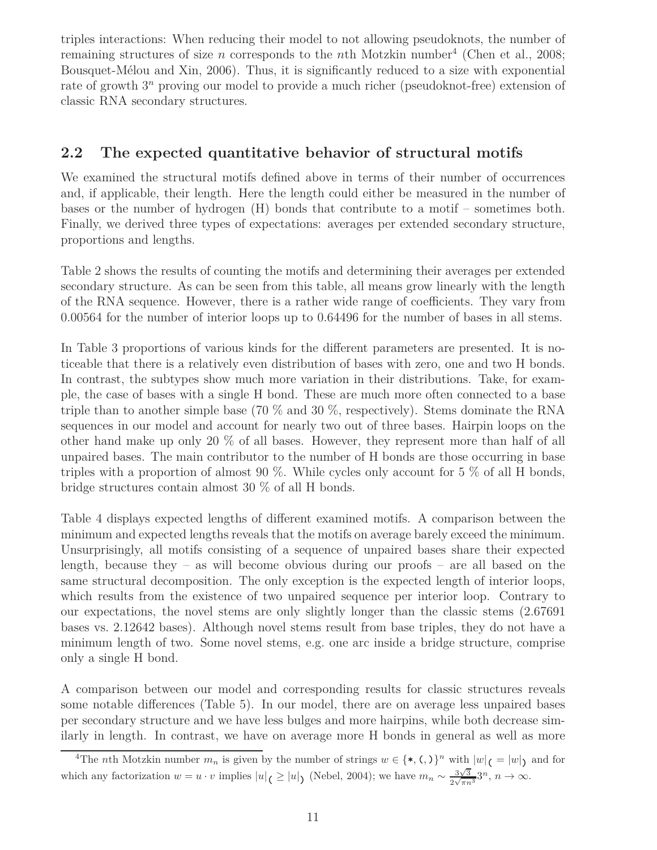triples interactions: When reducing their model to not allowing pseudoknots, the number of remaining structures of size *n* corresponds to the *n*th Motzkin number<sup>4</sup> (Chen et al., 2008; Bousquet-Mélou and Xin, 2006). Thus, it is significantly reduced to a size with exponential rate of growth 3*<sup>n</sup>* proving our model to provide a much richer (pseudoknot-free) extension of classic RNA secondary structures.

### **2.2 The expected quantitative behavior of structural motifs**

We examined the structural motifs defined above in terms of their number of occurrences and, if applicable, their length. Here the length could either be measured in the number of bases or the number of hydrogen (H) bonds that contribute to a motif – sometimes both. Finally, we derived three types of expectations: averages per extended secondary structure, proportions and lengths.

Table 2 shows the results of counting the motifs and determining their averages per extended secondary structure. As can be seen from this table, all means grow linearly with the length of the RNA sequence. However, there is a rather wide range of coefficients. They vary from 0.00564 for the number of interior loops up to 0.64496 for the number of bases in all stems.

In Table 3 proportions of various kinds for the different parameters are presented. It is noticeable that there is a relatively even distribution of bases with zero, one and two H bonds. In contrast, the subtypes show much more variation in their distributions. Take, for example, the case of bases with a single H bond. These are much more often connected to a base triple than to another simple base (70  $\%$  and 30  $\%$ , respectively). Stems dominate the RNA sequences in our model and account for nearly two out of three bases. Hairpin loops on the other hand make up only 20 % of all bases. However, they represent more than half of all unpaired bases. The main contributor to the number of H bonds are those occurring in base triples with a proportion of almost 90 %. While cycles only account for 5 % of all H bonds, bridge structures contain almost 30 % of all H bonds.

Table 4 displays expected lengths of different examined motifs. A comparison between the minimum and expected lengths reveals that the motifs on average barely exceed the minimum. Unsurprisingly, all motifs consisting of a sequence of unpaired bases share their expected length, because they – as will become obvious during our proofs – are all based on the same structural decomposition. The only exception is the expected length of interior loops, which results from the existence of two unpaired sequence per interior loop. Contrary to our expectations, the novel stems are only slightly longer than the classic stems (2.67691 bases vs. 2.12642 bases). Although novel stems result from base triples, they do not have a minimum length of two. Some novel stems, e.g. one arc inside a bridge structure, comprise only a single H bond.

A comparison between our model and corresponding results for classic structures reveals some notable differences (Table 5). In our model, there are on average less unpaired bases per secondary structure and we have less bulges and more hairpins, while both decrease similarly in length. In contrast, we have on average more H bonds in general as well as more

<sup>&</sup>lt;sup>4</sup>The *n*th Motzkin number  $m_n$  is given by the number of strings  $w \in {\{\ast, \Lambda\}}^n$  with  $|w|_{\mathcal{C}} = |w|_{\mathcal{C}}$  and for which any factorization  $w = u \cdot v$  implies  $|u| \le |u|$  (Nebel, 2004); we have  $m_n \sim \frac{3\sqrt{3}}{2\sqrt{\pi n}}$  $\frac{3\sqrt{3}}{2\sqrt{\pi n^3}}3^n$ ,  $n \to \infty$ .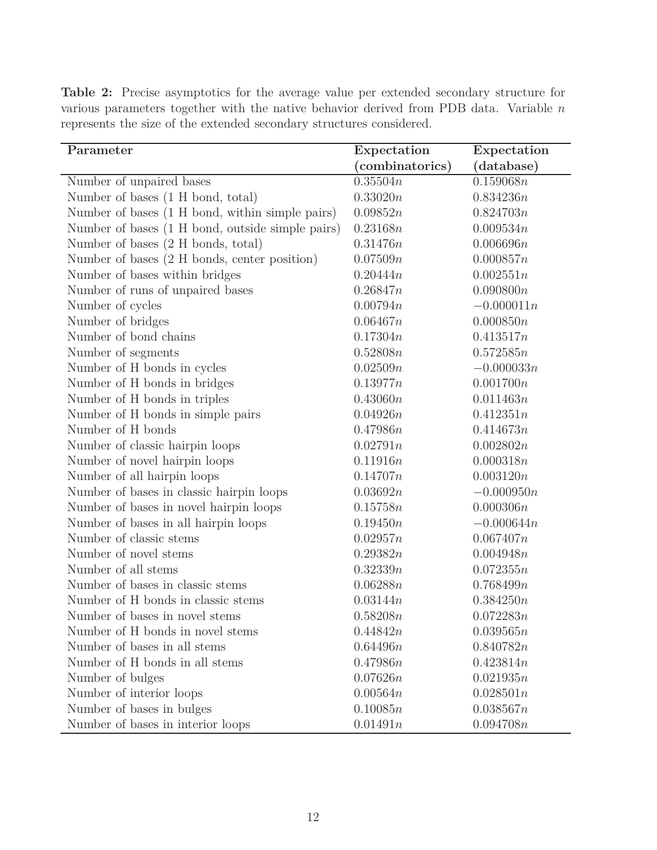| Parameter                                        | Expectation     | Expectation  |
|--------------------------------------------------|-----------------|--------------|
|                                                  | (combinatorics) | (database)   |
| Number of unpaired bases                         | 0.35504n        | 0.159068n    |
| Number of bases (1 H bond, total)                | 0.33020n        | 0.834236n    |
| Number of bases (1 H bond, within simple pairs)  | 0.09852n        | 0.824703n    |
| Number of bases (1 H bond, outside simple pairs) | 0.23168n        | 0.009534n    |
| Number of bases (2 H bonds, total)               | 0.31476n        | 0.006696n    |
| Number of bases (2 H bonds, center position)     | 0.07509n        | 0.000857n    |
| Number of bases within bridges                   | 0.20444n        | 0.002551n    |
| Number of runs of unpaired bases                 | 0.26847n        | 0.090800n    |
| Number of cycles                                 | 0.00794n        | $-0.000011n$ |
| Number of bridges                                | 0.06467n        | 0.000850n    |
| Number of bond chains                            | 0.17304n        | 0.413517n    |
| Number of segments                               | 0.52808n        | 0.572585n    |
| Number of H bonds in cycles                      | 0.02509n        | $-0.000033n$ |
| Number of H bonds in bridges                     | 0.13977n        | 0.001700n    |
| Number of H bonds in triples                     | 0.43060n        | 0.011463n    |
| Number of H bonds in simple pairs                | 0.04926n        | 0.412351n    |
| Number of H bonds                                | 0.47986n        | 0.414673n    |
| Number of classic hairpin loops                  | 0.02791n        | 0.002802n    |
| Number of novel hairpin loops                    | 0.11916n        | 0.000318n    |
| Number of all hairpin loops                      | 0.14707n        | 0.003120n    |
| Number of bases in classic hairpin loops         | 0.03692n        | $-0.000950n$ |
| Number of bases in novel hairpin loops           | 0.15758n        | 0.000306n    |
| Number of bases in all hairpin loops             | 0.19450n        | $-0.000644n$ |
| Number of classic stems                          | 0.02957n        | 0.067407n    |
| Number of novel stems                            | 0.29382n        | 0.004948n    |
| Number of all stems                              | 0.32339n        | 0.072355n    |
| Number of bases in classic stems                 | 0.06288n        | 0.768499n    |
| Number of H bonds in classic stems               | 0.03144n        | 0.384250n    |
| Number of bases in novel stems                   | 0.58208n        | 0.072283n    |
| Number of H bonds in novel stems                 | 0.44842n        | 0.039565n    |
| Number of bases in all stems                     | 0.64496n        | 0.840782n    |
| Number of H bonds in all stems                   | 0.47986n        | 0.423814n    |
| Number of bulges                                 | 0.07626n        | 0.021935n    |
| Number of interior loops                         | 0.00564n        | 0.028501n    |
| Number of bases in bulges                        | 0.10085n        | 0.038567n    |
| Number of bases in interior loops                | 0.01491n        | 0.094708n    |

**Table 2:** Precise asymptotics for the average value per extended secondary structure for various parameters together with the native behavior derived from PDB data. Variable *n* represents the size of the extended secondary structures considered.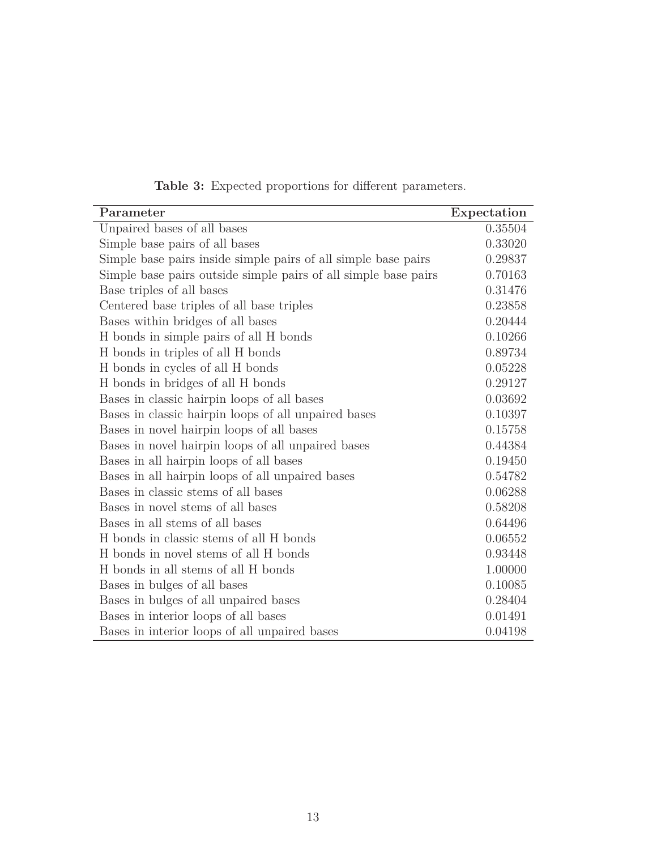| Parameter                                                       | Expectation |
|-----------------------------------------------------------------|-------------|
| Unpaired bases of all bases                                     | 0.35504     |
| Simple base pairs of all bases                                  | 0.33020     |
| Simple base pairs inside simple pairs of all simple base pairs  | 0.29837     |
| Simple base pairs outside simple pairs of all simple base pairs | 0.70163     |
| Base triples of all bases                                       | 0.31476     |
| Centered base triples of all base triples                       | 0.23858     |
| Bases within bridges of all bases                               | 0.20444     |
| H bonds in simple pairs of all H bonds                          | 0.10266     |
| H bonds in triples of all H bonds                               | 0.89734     |
| H bonds in cycles of all H bonds                                | 0.05228     |
| H bonds in bridges of all H bonds                               | 0.29127     |
| Bases in classic hairpin loops of all bases                     | 0.03692     |
| Bases in classic hairpin loops of all unpaired bases            | 0.10397     |
| Bases in novel hairpin loops of all bases                       | 0.15758     |
| Bases in novel hairpin loops of all unpaired bases              | 0.44384     |
| Bases in all hairpin loops of all bases                         | 0.19450     |
| Bases in all hairpin loops of all unpaired bases                | 0.54782     |
| Bases in classic stems of all bases                             | 0.06288     |
| Bases in novel stems of all bases                               | 0.58208     |
| Bases in all stems of all bases                                 | 0.64496     |
| H bonds in classic stems of all H bonds                         | 0.06552     |
| H bonds in novel stems of all H bonds                           | 0.93448     |
| H bonds in all stems of all H bonds                             | 1.00000     |
| Bases in bulges of all bases                                    | 0.10085     |
| Bases in bulges of all unpaired bases                           | 0.28404     |
| Bases in interior loops of all bases                            | 0.01491     |
| Bases in interior loops of all unpaired bases                   | 0.04198     |

**Table 3:** Expected proportions for different parameters.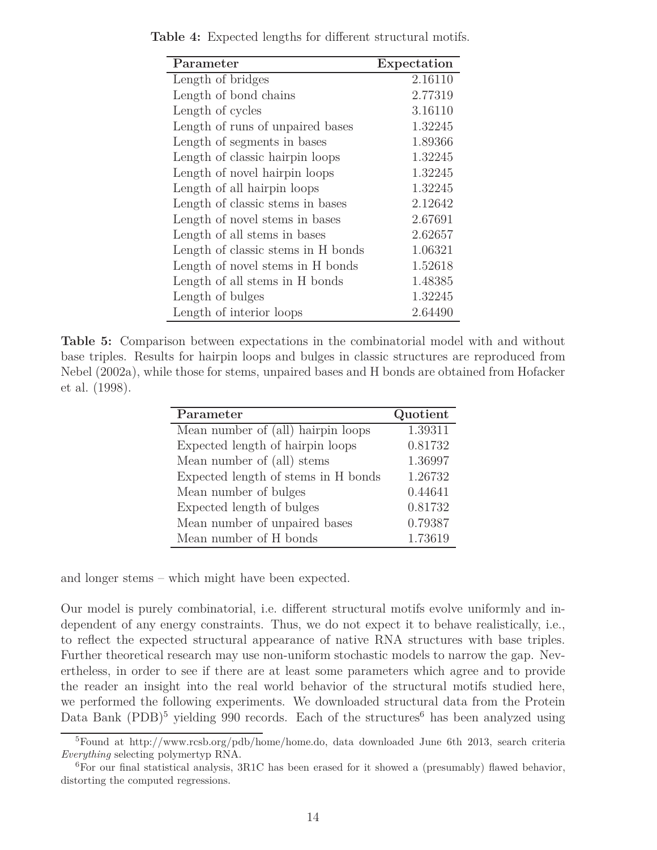| Parameter                          | Expectation |
|------------------------------------|-------------|
| Length of bridges                  | 2.16110     |
| Length of bond chains              | 2.77319     |
| Length of cycles                   | 3.16110     |
| Length of runs of unpaired bases   | 1.32245     |
| Length of segments in bases        | 1.89366     |
| Length of classic hairpin loops    | 1.32245     |
| Length of novel hairpin loops      | 1.32245     |
| Length of all hairpin loops        | 1.32245     |
| Length of classic stems in bases   | 2.12642     |
| Length of novel stems in bases     | 2.67691     |
| Length of all stems in bases       | 2.62657     |
| Length of classic stems in H bonds | 1.06321     |
| Length of novel stems in H bonds   | 1.52618     |
| Length of all stems in H bonds     | 1.48385     |
| Length of bulges                   | 1.32245     |
| Length of interior loops           | 2.64490     |

**Table 4:** Expected lengths for different structural motifs.

**Table 5:** Comparison between expectations in the combinatorial model with and without base triples. Results for hairpin loops and bulges in classic structures are reproduced from Nebel (2002a), while those for stems, unpaired bases and H bonds are obtained from Hofacker et al. (1998).

| Parameter                           | Quotient |
|-------------------------------------|----------|
| Mean number of (all) hairpin loops  | 1.39311  |
| Expected length of hairpin loops    | 0.81732  |
| Mean number of (all) stems          | 1.36997  |
| Expected length of stems in H bonds | 1.26732  |
| Mean number of bulges               | 0.44641  |
| Expected length of bulges           | 0.81732  |
| Mean number of unpaired bases       | 0.79387  |
| Mean number of H bonds              | 1.73619  |

and longer stems – which might have been expected.

Our model is purely combinatorial, i.e. different structural motifs evolve uniformly and independent of any energy constraints. Thus, we do not expect it to behave realistically, i.e., to reflect the expected structural appearance of native RNA structures with base triples. Further theoretical research may use non-uniform stochastic models to narrow the gap. Nevertheless, in order to see if there are at least some parameters which agree and to provide the reader an insight into the real world behavior of the structural motifs studied here, we performed the following experiments. We downloaded structural data from the Protein Data Bank  $(PDB)^5$  yielding 990 records. Each of the structures<sup>6</sup> has been analyzed using

<sup>5</sup>Found at http://www.rcsb.org/pdb/home/home.do, data downloaded June 6th 2013, search criteria *Everything* selecting polymertyp RNA.

 ${}^{6}$ For our final statistical analysis, 3R1C has been erased for it showed a (presumably) flawed behavior, distorting the computed regressions.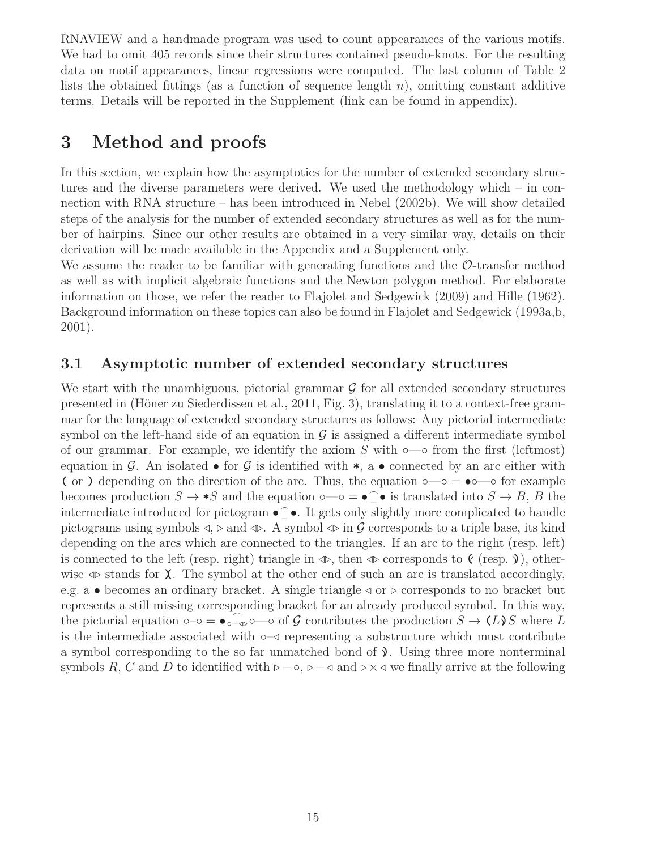RNAVIEW and a handmade program was used to count appearances of the various motifs. We had to omit 405 records since their structures contained pseudo-knots. For the resulting data on motif appearances, linear regressions were computed. The last column of Table 2 lists the obtained fittings (as a function of sequence length *n*), omitting constant additive terms. Details will be reported in the Supplement (link can be found in appendix).

### **3 Method and proofs**

In this section, we explain how the asymptotics for the number of extended secondary structures and the diverse parameters were derived. We used the methodology which – in connection with RNA structure – has been introduced in Nebel (2002b). We will show detailed steps of the analysis for the number of extended secondary structures as well as for the number of hairpins. Since our other results are obtained in a very similar way, details on their derivation will be made available in the Appendix and a Supplement only.

We assume the reader to be familiar with generating functions and the  $\mathcal{O}\text{-transfer}$  method as well as with implicit algebraic functions and the Newton polygon method. For elaborate information on those, we refer the reader to Flajolet and Sedgewick (2009) and Hille (1962). Background information on these topics can also be found in Flajolet and Sedgewick (1993a,b, 2001).

### **3.1 Asymptotic number of extended secondary structures**

We start with the unambiguous, pictorial grammar  $\mathcal G$  for all extended secondary structures presented in (Höner zu Siederdissen et al., 2011, Fig. 3), translating it to a context-free grammar for the language of extended secondary structures as follows: Any pictorial intermediate symbol on the left-hand side of an equation in  $\mathcal G$  is assigned a different intermediate symbol of our grammar. For example, we identify the axiom  $S$  with  $\circ$ — $\circ$  from the first (leftmost) equation in G. An isolated  $\bullet$  for G is identified with  $\ast$ , a  $\bullet$  connected by an arc either with (or ) depending on the direction of the arc. Thus, the equation  $\circ$ — $\circ$  =  $\bullet \circ$ — $\circ$  for example becomes production  $S \to *S$  and the equation  $\circ$ — $\circ$  =  $\bullet$  $\bigcap$  is translated into  $S \to B$ , *B* the intermediate introduced for pictogram  $\bullet \widehat{\phantom{\bullet}}$ − •. It gets only slightly more complicated to handle pictograms using symbols *⊳*, *⊲* and *⊳⊲*. A symbol *⊳⊲* in G corresponds to a triple base, its kind depending on the arcs which are connected to the triangles. If an arc to the right (resp. left) is connected to the left (resp. right) triangle in *⊳⊲*, then *⊳⊲* corresponds to **((** (resp. **((**), otherwise *⊳⊲* stands for **)(**. The symbol at the other end of such an arc is translated accordingly, e.g. a • becomes an ordinary bracket. A single triangle  $\triangleleft$  or  $\triangleright$  corresponds to no bracket but represents a still missing corresponding bracket for an already produced symbol. In this way, the pictorial equation  $\circ$ − $\circ$  =  $\bullet$ <sub>°</sub>− $\circ$ − $\circ$  of G contributes the production  $S \to (L)S$  where  $L$ is the intermediate associated with ◦–*⊳* representing a substructure which must contribute a symbol corresponding to the so far unmatched bond of  $\lambda$ . Using three more nonterminal symbols *R*, *C* and *D* to identified with  $\rho$ − $\circ$ ,  $\rho$ − $\circ$  and  $\rho \times \circ$  we finally arrive at the following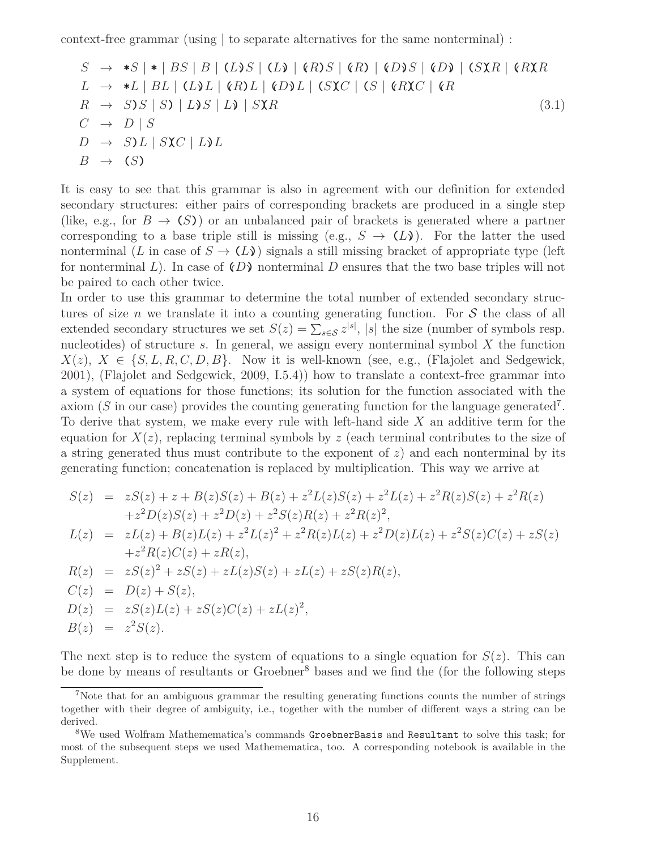context-free grammar (using | to separate alternatives for the same nonterminal) :

$$
S \rightarrow *S| * | BS | B | (L)S | (L) | (R)S | (R) | (D)S | (D) | (S \times R) | (R \times R)
$$
  
\n
$$
L \rightarrow *L | BL | (L)L | (R)L | (D)L | (S \times C | (S | (R \times C | (R \times R \rightarrow S)S | S) | L) S | L) | S \times R
$$
  
\n
$$
C \rightarrow D | S
$$
  
\n
$$
D \rightarrow S)L | S \times C | L) L
$$
  
\n
$$
B \rightarrow (S)
$$
  
\n
$$
(3.1)
$$

It is easy to see that this grammar is also in agreement with our definition for extended secondary structures: either pairs of corresponding brackets are produced in a single step (like, e.g., for  $B \to (S)$ ) or an unbalanced pair of brackets is generated where a partner corresponding to a base triple still is missing (e.g.,  $S \rightarrow (L)$ ). For the latter the used nonterminal (*L* in case of  $S \to (L)$ ) signals a still missing bracket of appropriate type (left for nonterminal L). In case of  $(D)$  nonterminal D ensures that the two base triples will not be paired to each other twice.

In order to use this grammar to determine the total number of extended secondary structures of size *n* we translate it into a counting generating function. For  $S$  the class of all extended secondary structures we set  $S(z) = \sum_{s \in \mathcal{S}} z^{|s|}$ , |*s*| the size (number of symbols resp. nucleotides) of structure *s*. In general, we assign every nonterminal symbol *X* the function  $X(z)$ ,  $X \in \{S, L, R, C, D, B\}$ . Now it is well-known (see, e.g., (Flajolet and Sedgewick, 2001), (Flajolet and Sedgewick, 2009, I.5.4)) how to translate a context-free grammar into a system of equations for those functions; its solution for the function associated with the axiom  $(S$  in our case) provides the counting generating function for the language generated<sup>7</sup>. To derive that system, we make every rule with left-hand side *X* an additive term for the equation for  $X(z)$ , replacing terminal symbols by  $z$  (each terminal contributes to the size of a string generated thus must contribute to the exponent of *z*) and each nonterminal by its generating function; concatenation is replaced by multiplication. This way we arrive at

$$
S(z) = zS(z) + z + B(z)S(z) + B(z) + z2L(z)S(z) + z2R(z)S(z) + z2R(z)+ z2D(z)S(z) + z2D(z) + z2S(z)R(z) + z2R(z)2,L(z) = zL(z) + B(z)L(z) + z2L(z)2 + z2R(z)L(z) + z2D(z)L(z) + z2S(z)C(z) + zS(z)+ z2R(z)C(z) + zR(z),R(z) = zS(z)2 + zS(z) + zL(z)S(z) + zL(z) + zS(z)R(z),C(z) = D(z) + S(z),D(z) = zS(z)L(z) + zS(z)C(z) + zL(z)2,B(z) = z2S(z).
$$

The next step is to reduce the system of equations to a single equation for  $S(z)$ . This can be done by means of resultants or Groebner<sup>8</sup> bases and we find the (for the following steps

<sup>&</sup>lt;sup>7</sup>Note that for an ambiguous grammar the resulting generating functions counts the number of strings together with their degree of ambiguity, i.e., together with the number of different ways a string can be derived.

<sup>8</sup>We used Wolfram Mathemematica's commands GroebnerBasis and Resultant to solve this task; for most of the subsequent steps we used Mathemematica, too. A corresponding notebook is available in the Supplement.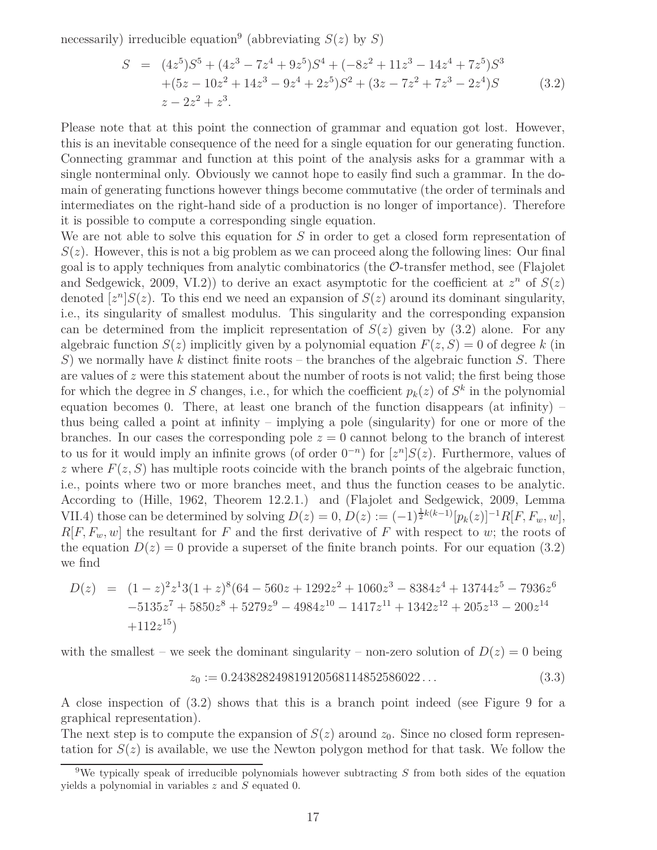necessarily) irreducible equation<sup>9</sup> (abbreviating  $S(z)$  by  $S$ )

$$
S = (4z5)S5 + (4z3 - 7z4 + 9z5)S4 + (-8z2 + 11z3 - 14z4 + 7z5)S3
$$
  
+ (5z - 10z<sup>2</sup> + 14z<sup>3</sup> - 9z<sup>4</sup> + 2z<sup>5</sup>)S<sup>2</sup> + (3z - 7z<sup>2</sup> + 7z<sup>3</sup> - 2z<sup>4</sup>)S (3.2)  
z - 2z<sup>2</sup> + z<sup>3</sup>.

Please note that at this point the connection of grammar and equation got lost. However, this is an inevitable consequence of the need for a single equation for our generating function. Connecting grammar and function at this point of the analysis asks for a grammar with a single nonterminal only. Obviously we cannot hope to easily find such a grammar. In the domain of generating functions however things become commutative (the order of terminals and intermediates on the right-hand side of a production is no longer of importance). Therefore it is possible to compute a corresponding single equation.

We are not able to solve this equation for *S* in order to get a closed form representation of  $S(z)$ . However, this is not a big problem as we can proceed along the following lines: Our final goal is to apply techniques from analytic combinatorics (the  $\mathcal{O}$ -transfer method, see (Flajolet and Sedgewick, 2009, VI.2) to derive an exact asymptotic for the coefficient at  $z^n$  of  $S(z)$ denoted  $[z^n]S(z)$ . To this end we need an expansion of  $S(z)$  around its dominant singularity, i.e., its singularity of smallest modulus. This singularity and the corresponding expansion can be determined from the implicit representation of  $S(z)$  given by  $(3.2)$  alone. For any algebraic function  $S(z)$  implicitly given by a polynomial equation  $F(z, S) = 0$  of degree k (in *S*) we normally have *k* distinct finite roots – the branches of the algebraic function *S*. There are values of *z* were this statement about the number of roots is not valid; the first being those for which the degree in *S* changes, i.e., for which the coefficient  $p_k(z)$  of  $S^k$  in the polynomial equation becomes 0. There, at least one branch of the function disappears (at infinity) – thus being called a point at infinity – implying a pole (singularity) for one or more of the branches. In our cases the corresponding pole  $z = 0$  cannot belong to the branch of interest to us for it would imply an infinite grows (of order  $0^{-n}$ ) for  $[z^n]S(z)$ . Furthermore, values of *z* where  $F(z, S)$  has multiple roots coincide with the branch points of the algebraic function, i.e., points where two or more branches meet, and thus the function ceases to be analytic. According to (Hille, 1962, Theorem 12.2.1.) and (Flajolet and Sedgewick, 2009, Lemma VII.4) those can be determined by solving  $D(z) = 0$ ,  $D(z) := (-1)^{\frac{1}{2}k(k-1)}[p_k(z)]^{-1}R[F, F_w, w]$ ,  $R[F, F_w, w]$  the resultant for *F* and the first derivative of *F* with respect to *w*; the roots of the equation  $D(z) = 0$  provide a superset of the finite branch points. For our equation (3.2) we find

$$
D(z) = (1-z)^2 z^1 3 (1+z)^8 (64-560 z+1292 z^2+1060 z^3-8384 z^4+13744 z^5-7936 z^6
$$
  
-5135 z<sup>7</sup> + 5850 z<sup>8</sup> + 5279 z<sup>9</sup> - 4984 z<sup>10</sup> - 1417 z<sup>11</sup> + 1342 z<sup>12</sup> + 205 z<sup>13</sup> - 200 z<sup>14</sup>  
+112 z<sup>15</sup>)

with the smallest – we seek the dominant singularity – non-zero solution of  $D(z) = 0$  being

$$
z_0 := 0.243828249819120568114852586022\ldots\tag{3.3}
$$

A close inspection of (3.2) shows that this is a branch point indeed (see Figure 9 for a graphical representation).

The next step is to compute the expansion of  $S(z)$  around  $z_0$ . Since no closed form representation for  $S(z)$  is available, we use the Newton polygon method for that task. We follow the

<sup>9</sup>We typically speak of irreducible polynomials however subtracting *S* from both sides of the equation yields a polynomial in variables *z* and *S* equated 0.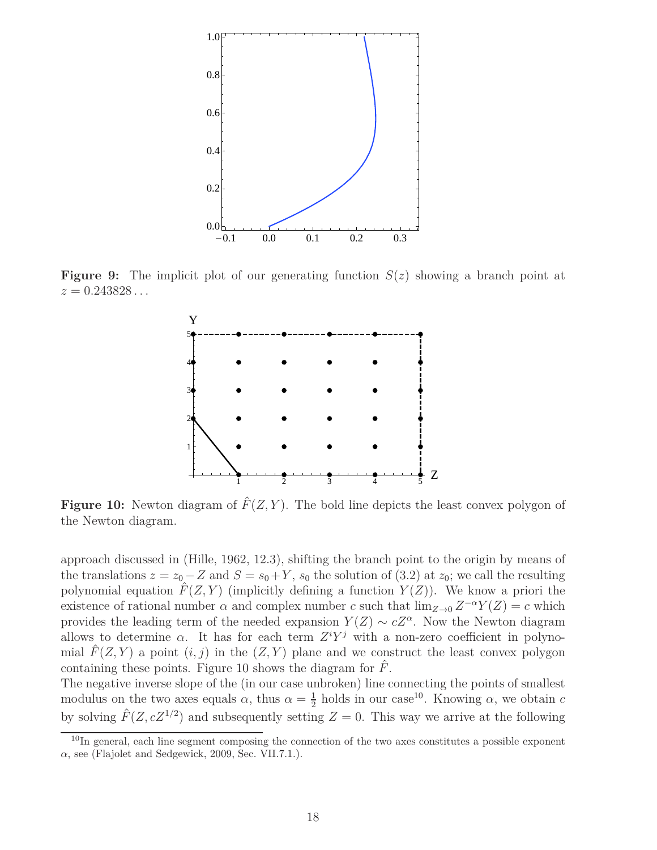

**Figure 9:** The implicit plot of our generating function *S*(*z*) showing a branch point at *z* = 0*.*243828 *. . .*



**Figure 10:** Newton diagram of  $\hat{F}(Z, Y)$ . The bold line depicts the least convex polygon of the Newton diagram.

approach discussed in (Hille, 1962, 12.3), shifting the branch point to the origin by means of the translations  $z = z_0 - Z$  and  $S = s_0 + Y$ ,  $s_0$  the solution of (3.2) at  $z_0$ ; we call the resulting polynomial equation  $\hat{F}(Z, Y)$  (implicitly defining a function  $Y(Z)$ ). We know a priori the existence of rational number  $\alpha$  and complex number  $c$  such that  $\lim_{Z\to 0} Z^{-\alpha}Y(Z) = c$  which provides the leading term of the needed expansion  $Y(Z) \sim cZ^{\alpha}$ . Now the Newton diagram allows to determine  $\alpha$ . It has for each term  $Z^i Y^j$  with a non-zero coefficient in polynomial  $\hat{F}(Z, Y)$  a point  $(i, j)$  in the  $(Z, Y)$  plane and we construct the least convex polygon containing these points. Figure 10 shows the diagram for *F*ˆ.

The negative inverse slope of the (in our case unbroken) line connecting the points of smallest modulus on the two axes equals  $\alpha$ , thus  $\alpha = \frac{1}{2}$  $\frac{1}{2}$  holds in our case<sup>10</sup>. Knowing  $\alpha$ , we obtain *c* by solving  $\hat{F}(Z, cZ^{1/2})$  and subsequently setting  $Z = 0$ . This way we arrive at the following

<sup>&</sup>lt;sup>10</sup>In general, each line segment composing the connection of the two axes constitutes a possible exponent  $\alpha$ , see (Flajolet and Sedgewick, 2009, Sec. VII.7.1.).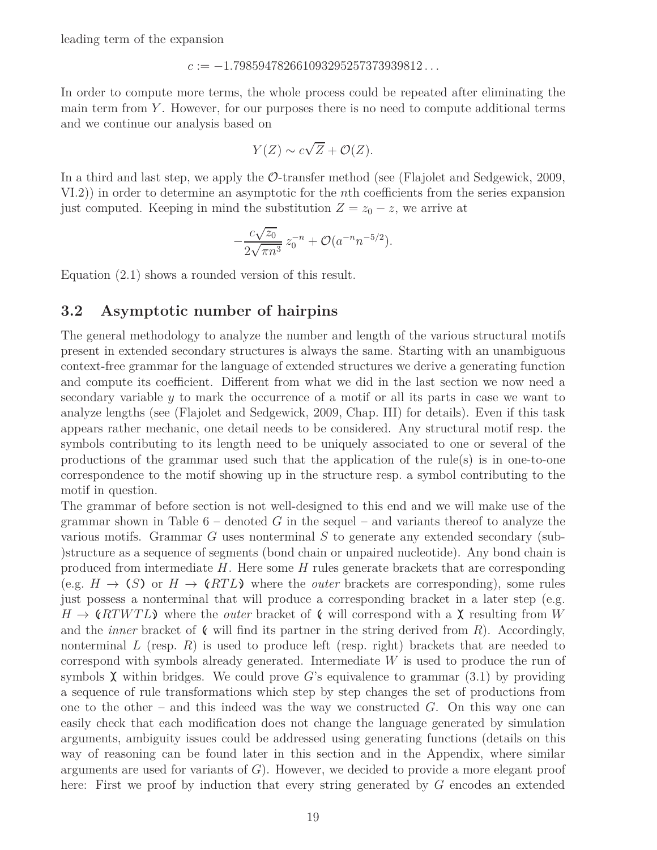leading term of the expansion

#### *c* := −1*.*798594782661093295257373939812 *. . .*

In order to compute more terms, the whole process could be repeated after eliminating the main term from *Y* . However, for our purposes there is no need to compute additional terms and we continue our analysis based on

$$
Y(Z) \sim c\sqrt{Z} + \mathcal{O}(Z).
$$

In a third and last step, we apply the O-transfer method (see (Flajolet and Sedgewick, 2009, VI.2)) in order to determine an asymptotic for the *n*th coefficients from the series expansion just computed. Keeping in mind the substitution  $Z = z_0 - z$ , we arrive at

$$
-\frac{c\sqrt{z_0}}{2\sqrt{\pi n^3}}z_0^{-n}+\mathcal{O}(a^{-n}n^{-5/2}).
$$

Equation (2.1) shows a rounded version of this result.

#### **3.2 Asymptotic number of hairpins**

The general methodology to analyze the number and length of the various structural motifs present in extended secondary structures is always the same. Starting with an unambiguous context-free grammar for the language of extended structures we derive a generating function and compute its coefficient. Different from what we did in the last section we now need a secondary variable *y* to mark the occurrence of a motif or all its parts in case we want to analyze lengths (see (Flajolet and Sedgewick, 2009, Chap. III) for details). Even if this task appears rather mechanic, one detail needs to be considered. Any structural motif resp. the symbols contributing to its length need to be uniquely associated to one or several of the productions of the grammar used such that the application of the rule(s) is in one-to-one correspondence to the motif showing up in the structure resp. a symbol contributing to the motif in question.

The grammar of before section is not well-designed to this end and we will make use of the grammar shown in Table  $6$  – denoted  $G$  in the sequel – and variants thereof to analyze the various motifs. Grammar *G* uses nonterminal *S* to generate any extended secondary (sub- )structure as a sequence of segments (bond chain or unpaired nucleotide). Any bond chain is produced from intermediate *H*. Here some *H* rules generate brackets that are corresponding (e.g.  $H \to (S)$  or  $H \to (RTL)$  where the *outer* brackets are corresponding), some rules just possess a nonterminal that will produce a corresponding bracket in a later step (e.g.  $H \to \mathbb{R}$  **(***RTWTL*) where the *outer* bracket of  $\mathbb{R}$  will correspond with a  $\mathbb{X}$  resulting from *W* and the *inner* bracket of  $\zeta$  will find its partner in the string derived from R). Accordingly, nonterminal  $L$  (resp.  $R$ ) is used to produce left (resp. right) brackets that are needed to correspond with symbols already generated. Intermediate *W* is used to produce the run of symbols  $\chi$  within bridges. We could prove *G*'s equivalence to grammar (3.1) by providing a sequence of rule transformations which step by step changes the set of productions from one to the other – and this indeed was the way we constructed *G*. On this way one can easily check that each modification does not change the language generated by simulation arguments, ambiguity issues could be addressed using generating functions (details on this way of reasoning can be found later in this section and in the Appendix, where similar arguments are used for variants of *G*). However, we decided to provide a more elegant proof here: First we proof by induction that every string generated by *G* encodes an extended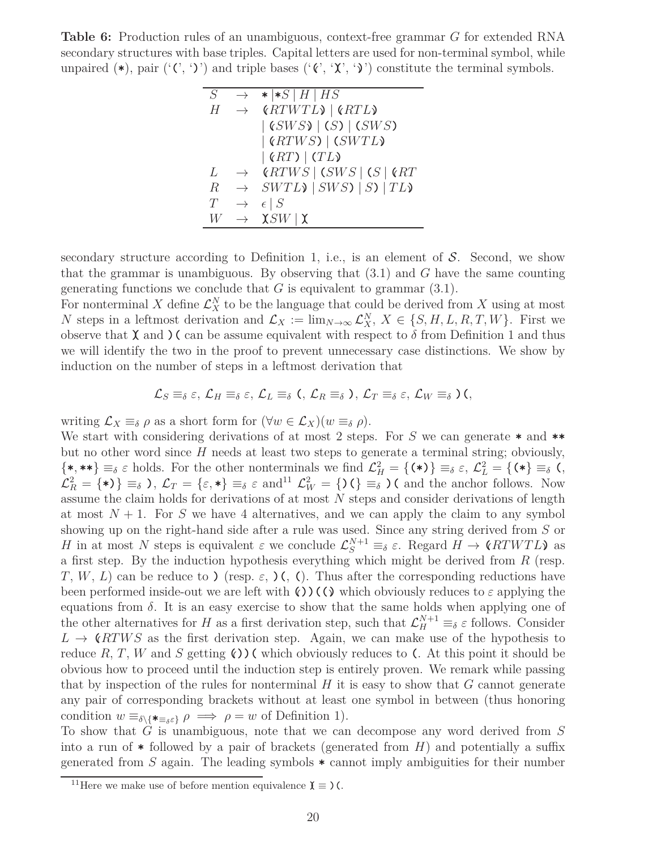**Table 6:** Production rules of an unambiguous, context-free grammar *G* for extended RNA secondary structures with base triples. Capital letters are used for non-terminal symbol, while unpaired  $(\ast)$ , pair  $({}^{\prime}({}^{\prime}, {}^{\prime})^{\prime})$  and triple bases  $({}^{\prime}({}^{\prime}, {}^{\prime}X^{\prime}, {}^{\prime})^{\prime})$  constitute the terminal symbols.

| S           | $\rightarrow$ | $\star$   $\star$ S   H   HS                          |
|-------------|---------------|-------------------------------------------------------|
| Н           | $\rightarrow$ | (RTWTL)   (RTL)                                       |
|             |               | $ $ (SWS) $ $ (S) $ $ (SWS)                           |
|             |               | $ $ (RTWS) $ $ (SWTL)                                 |
|             |               | $ \left(RT\right) $ (TL)                              |
| L           | $\rightarrow$ | (RTWS   (SWS   (S   6RT                               |
| $\mathbb R$ | $\rightarrow$ | $SWTL$ $\mid SWS$ $\mid S$ $\mid TL$ $\mid TL$ $\mid$ |
| T           | $\rightarrow$ | $\epsilon \mid S$                                     |
| W           | $\rightarrow$ | $\chi$ SW   $\chi$                                    |

secondary structure according to Definition 1, i.e., is an element of  $S$ . Second, we show that the grammar is unambiguous. By observing that (3.1) and *G* have the same counting generating functions we conclude that  $G$  is equivalent to grammar  $(3.1)$ .

For nonterminal X define  $\mathcal{L}_X^N$  to be the language that could be derived from X using at most *N* steps in a leftmost derivation and  $\mathcal{L}_X := \lim_{N \to \infty} \mathcal{L}_X^N$ ,  $X \in \{S, H, L, R, T, W\}$ . First we observe that  $\chi$  and  $\chi$  can be assume equivalent with respect to  $\delta$  from Definition 1 and thus we will identify the two in the proof to prevent unnecessary case distinctions. We show by induction on the number of steps in a leftmost derivation that

$$
\mathcal{L}_S \equiv_{\delta} \varepsilon, \, \mathcal{L}_H \equiv_{\delta} \varepsilon, \, \mathcal{L}_L \equiv_{\delta} \, \zeta, \, \mathcal{L}_R \equiv_{\delta} \, \zeta, \, \mathcal{L}_T \equiv_{\delta} \varepsilon, \, \mathcal{L}_W \equiv_{\delta} \, \zeta,
$$

writing  $\mathcal{L}_X \equiv_{\delta} \rho$  as a short form for  $(\forall w \in \mathcal{L}_X)(w \equiv_{\delta} \rho)$ .

We start with considering derivations of at most 2 steps. For *S* we can generate **\*** and **\*\*** but no other word since *H* needs at least two steps to generate a terminal string; obviously,  $\{*, **\} \equiv_{\delta} \varepsilon$  holds. For the other nonterminals we find  $\mathcal{L}_H^2 = \{(*)\} \equiv_{\delta} \varepsilon$ ,  $\mathcal{L}_L^2 = \{(*\} \equiv_{\delta} \zeta$ ,  $\mathcal{L}_R^2 = \{\ast\} \equiv \delta$ ,  $\mathcal{L}_T = \{\varepsilon, \ast\} \equiv \delta \varepsilon$  and<sup>11</sup>  $\mathcal{L}_W^2 = \{\sum \xi \equiv \delta \}$  (and the anchor follows. Now assume the claim holds for derivations of at most *N* steps and consider derivations of length at most  $N+1$ . For S we have 4 alternatives, and we can apply the claim to any symbol showing up on the right-hand side after a rule was used. Since any string derived from *S* or *H* in at most *N* steps is equivalent  $\varepsilon$  we conclude  $\mathcal{L}_S^{N+1} \equiv_{\delta} \varepsilon$ . Regard  $H \to \mathcal{C}RTWTL\mathcal{V}$  as a first step. By the induction hypothesis everything which might be derived from *R* (resp. *T*, *W*, *L*) can be reduce to ) (resp. *ε*, )(, (). Thus after the corresponding reductions have been performed inside-out we are left with  $(\cdot)$   $(\cdot)$  which obviously reduces to  $\varepsilon$  applying the equations from  $\delta$ . It is an easy exercise to show that the same holds when applying one of the other alternatives for *H* as a first derivation step, such that  $\mathcal{L}_{H}^{N+1} \equiv_{\delta} \varepsilon$  follows. Consider  $L \rightarrow \mathcal{C}RTWS$  as the first derivation step. Again, we can make use of the hypothesis to reduce  $R, T, W$  and  $S$  getting  $\mathcal{O}(\mathcal{O})$  which obviously reduces to  $\mathcal{O}(\mathcal{O})$ . At this point it should be obvious how to proceed until the induction step is entirely proven. We remark while passing that by inspection of the rules for nonterminal *H* it is easy to show that *G* cannot generate any pair of corresponding brackets without at least one symbol in between (thus honoring condition  $w \equiv_{\delta \setminus {\{\star_{\equiv \delta \varepsilon}\}}} \rho \implies \rho = w$  of Definition 1).

To show that *G* is unambiguous, note that we can decompose any word derived from *S* into a run of **\*** followed by a pair of brackets (generated from *H*) and potentially a suffix generated from *S* again. The leading symbols **\*** cannot imply ambiguities for their number

<sup>&</sup>lt;sup>11</sup>Here we make use of before mention equivalence  $\mathbf{\chi} \equiv$   $($ .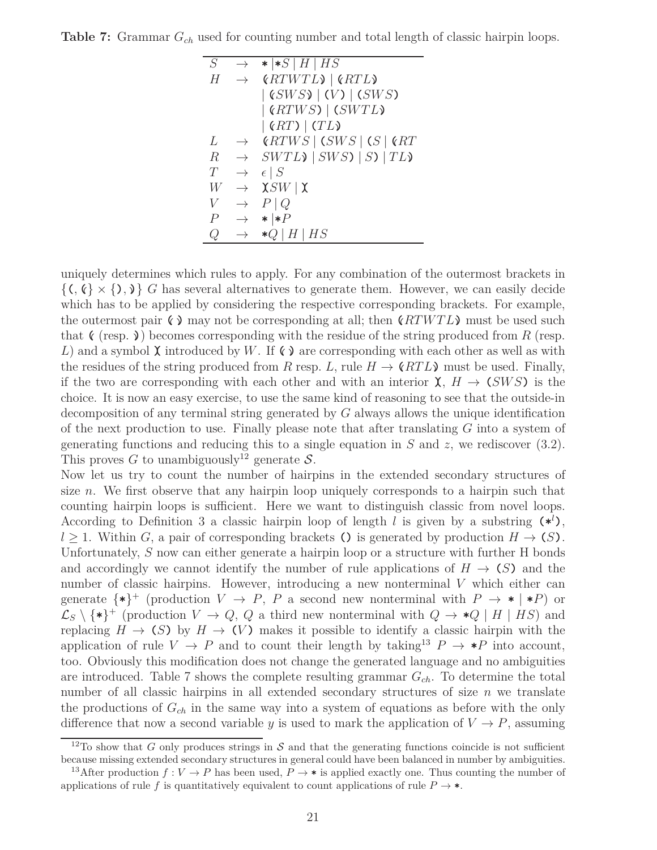**Table 7:** Grammar *Gch* used for counting number and total length of classic hairpin loops.

| S                | $\rightarrow$ | $\star$   $\star$ S   H   HS                                        |
|------------------|---------------|---------------------------------------------------------------------|
| H                | $\rightarrow$ | (RTWTL)   (RTL)                                                     |
|                  |               | $ $ (SWS) $ $ (V) $ $ (SWS)                                         |
|                  |               | $ $ (RTWS) $ $ (SWTL)                                               |
|                  |               | $ \left(RT\right) $ (TL)                                            |
| L                | $\rightarrow$ | (RTWS   (SWS   (S   6RT                                             |
| $\boldsymbol{R}$ |               | $\rightarrow$ SWTL $\rightarrow$ SWS $\rightarrow$ SV $\rightarrow$ |
| T                | $\rightarrow$ | $\epsilon \mid S$                                                   |
| W                | $\rightarrow$ | $\chi$ SW   $\chi$                                                  |
| V                | $\rightarrow$ | $P \mid Q$                                                          |
| Р                | $\rightarrow$ | $\ast   \ast P$                                                     |
| Q                | $\rightarrow$ | $*Q$   H   HS                                                       |

uniquely determines which rules to apply. For any combination of the outermost brackets in  $\{(\, \mathcal{C} \times \{), \mathcal{V}\}\}$  *G* has several alternatives to generate them. However, we can easily decide which has to be applied by considering the respective corresponding brackets. For example, the outermost pair  $\zeta$  **(**) may not be corresponding at all; then  $\zeta$  **(***RTWTL*) must be used such that  $\zeta$  (resp. ) becomes corresponding with the residue of the string produced from *R* (resp. *L*) and a symbol  $\chi$  introduced by *W*. If  $\zeta$  are corresponding with each other as well as with the residues of the string produced from *R* resp. *L*, rule  $H \to \langle RTL \rangle$  must be used. Finally, if the two are corresponding with each other and with an interior  $\chi$ ,  $H \to (SWS)$  is the choice. It is now an easy exercise, to use the same kind of reasoning to see that the outside-in decomposition of any terminal string generated by *G* always allows the unique identification of the next production to use. Finally please note that after translating *G* into a system of generating functions and reducing this to a single equation in *S* and *z*, we rediscover (3.2). This proves *G* to unambiguously<sup>12</sup> generate S.

Now let us try to count the number of hairpins in the extended secondary structures of size *n*. We first observe that any hairpin loop uniquely corresponds to a hairpin such that counting hairpin loops is sufficient. Here we want to distinguish classic from novel loops. According to Definition 3 a classic hairpin loop of length *l* is given by a substring  $(*')$ ,  $l > 1$ . Within *G*, a pair of corresponding brackets () is generated by production  $H \rightarrow (S)$ . Unfortunately, *S* now can either generate a hairpin loop or a structure with further H bonds and accordingly we cannot identify the number of rule applications of  $H \to (S)$  and the number of classic hairpins. However, introducing a new nonterminal *V* which either can generate  $\{*\}^+$  (production  $V \to P$ , *P* a second new nonterminal with  $P \to * | *P$ ) or  $\mathcal{L}_S \setminus \{\ast\}^+$  (production  $V \to Q$ ,  $Q$  a third new nonterminal with  $Q \to \ast Q \mid H \mid HS$ ) and replacing  $H \to (S)$  by  $H \to (V)$  makes it possible to identify a classic hairpin with the application of rule  $V \rightarrow P$  and to count their length by taking<sup>13</sup>  $P \rightarrow \ast P$  into account, too. Obviously this modification does not change the generated language and no ambiguities are introduced. Table 7 shows the complete resulting grammar *Gch*. To determine the total number of all classic hairpins in all extended secondary structures of size *n* we translate the productions of *Gch* in the same way into a system of equations as before with the only difference that now a second variable *y* is used to mark the application of  $V \to P$ , assuming

<sup>&</sup>lt;sup>12</sup>To show that *G* only produces strings in  $S$  and that the generating functions coincide is not sufficient because missing extended secondary structures in general could have been balanced in number by ambiguities.

<sup>&</sup>lt;sup>13</sup>After production  $f: V \to P$  has been used,  $P \to *$  is applied exactly one. Thus counting the number of applications of rule *f* is quantitatively equivalent to count applications of rule  $P \to \ast$ .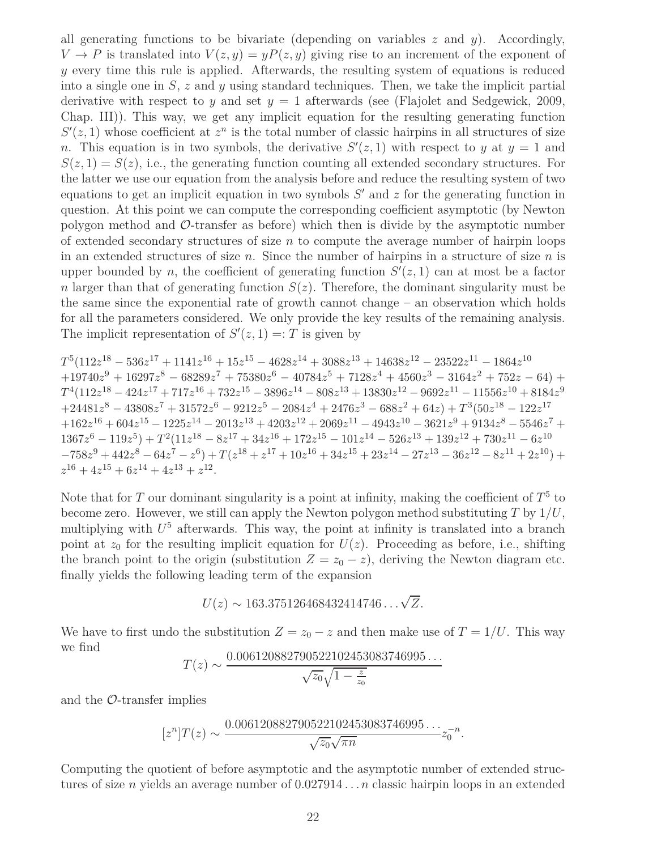all generating functions to be bivariate (depending on variables *z* and *y*). Accordingly,  $V \to P$  is translated into  $V(z, y) = yP(z, y)$  giving rise to an increment of the exponent of *y* every time this rule is applied. Afterwards, the resulting system of equations is reduced into a single one in *S*, *z* and *y* using standard techniques. Then, we take the implicit partial derivative with respect to *y* and set  $y = 1$  afterwards (see (Flajolet and Sedgewick, 2009, Chap. III)). This way, we get any implicit equation for the resulting generating function  $S'(z,1)$  whose coefficient at  $z^n$  is the total number of classic hairpins in all structures of size *n*. This equation is in two symbols, the derivative  $S'(z,1)$  with respect to *y* at  $y=1$  and  $S(z,1) = S(z)$ , i.e., the generating function counting all extended secondary structures. For the latter we use our equation from the analysis before and reduce the resulting system of two equations to get an implicit equation in two symbols *S* ′ and *z* for the generating function in question. At this point we can compute the corresponding coefficient asymptotic (by Newton polygon method and O-transfer as before) which then is divide by the asymptotic number of extended secondary structures of size *n* to compute the average number of hairpin loops in an extended structures of size *n*. Since the number of hairpins in a structure of size *n* is upper bounded by *n*, the coefficient of generating function  $S'(z,1)$  can at most be a factor *n* larger than that of generating function  $S(z)$ . Therefore, the dominant singularity must be the same since the exponential rate of growth cannot change – an observation which holds for all the parameters considered. We only provide the key results of the remaining analysis. The implicit representation of  $S'(z, 1) = T$  is given by

$$
T^5(112z^{18}-536z^{17}+1141z^{16}+15z^{15}-4628z^{14}+3088z^{13}+14638z^{12}-23522z^{11}-1864z^{10} \\ +19740z^9+16297z^8-68289z^7+75380z^6-40784z^5+7128z^4+4560z^3-3164z^2+752z-64)+ \\ T^4(112z^{18}-424z^{17}+717z^{16}+732z^{15}-3896z^{14}-808z^{13}+13830z^{12}-9692z^{11}-11556z^{10}+8184z^9 \\ +24481z^8-43808z^7+31572z^6-9212z^5-2084z^4+2476z^3-688z^2+64z)+ \\ T^3(50z^{18}-122z^{17} \\ +162z^{16}+604z^{15}-1225z^{14}-2013z^{13}+4203z^{12}+2069z^{11}-4943z^{10}-3621z^9+9134z^8-5546z^7+ \\ 1367z^6-119z^5)+ \\ T^2(11z^{18}-8z^{17}+34z^{16}+172z^{15}-101z^{14}-526z^{13}+139z^{12}+730z^{11}-6z^{10} \\ -758z^9+442z^8-64z^7-z^6)+ \\ T(z^{18}+z^{17}+10z^{16}+34z^{15}+23z^{14}-27z^{13}-36z^{12}-8z^{11}+2z^{10})+ \\ z^{16}+4z^{15}+6z^{14}+4z^{13}+z^{12}.
$$

Note that for  $T$  our dominant singularity is a point at infinity, making the coefficient of  $T^5$  to become zero. However, we still can apply the Newton polygon method substituting *T* by 1*/U*, multiplying with *U* <sup>5</sup> afterwards. This way, the point at infinity is translated into a branch point at  $z_0$  for the resulting implicit equation for  $U(z)$ . Proceeding as before, i.e., shifting the branch point to the origin (substitution  $Z = z_0 - z$ ), deriving the Newton diagram etc. finally yields the following leading term of the expansion

$$
U(z) \sim 163.375126468432414746\ldots\sqrt{Z}.
$$

We have to first undo the substitution  $Z = z_0 - z$  and then make use of  $T = 1/U$ . This way we find

$$
T(z) \sim \frac{0.006120882790522102453083746995\ldots}{\sqrt{z_0}\sqrt{1-\frac{z}{z_0}}}
$$

and the  $\mathcal{O}\text{-transfer implies}$ 

$$
[zn]T(z) \sim \frac{0.006120882790522102453083746995...}{\sqrt{z_0}\sqrt{\pi n}}z_0^{-n}.
$$

Computing the quotient of before asymptotic and the asymptotic number of extended structures of size *n* yields an average number of 0*.*027914 *. . . n* classic hairpin loops in an extended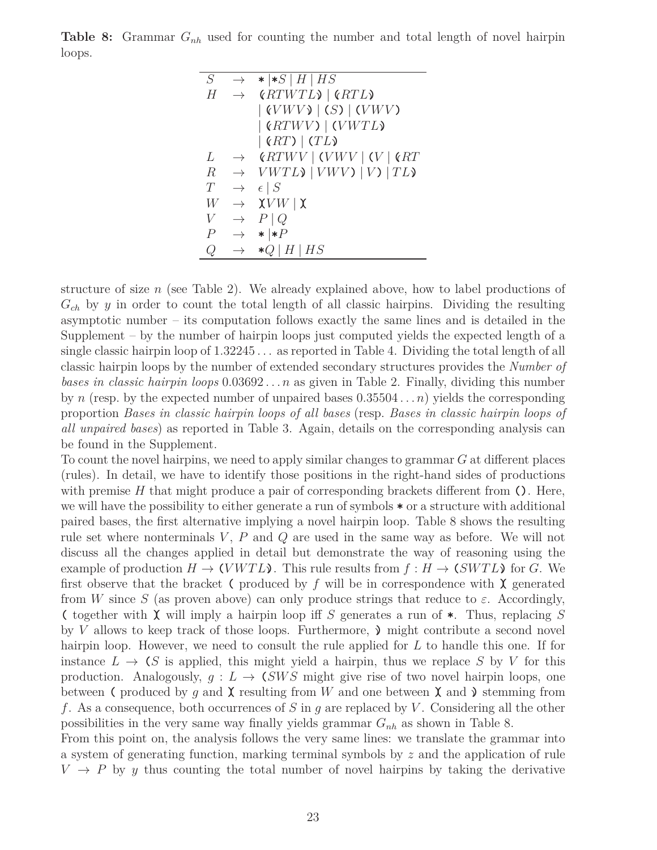**Table 8:** Grammar *Gnh* used for counting the number and total length of novel hairpin loops.

| S            | $\rightarrow$ | $\star$  *S   H   HS                                                         |
|--------------|---------------|------------------------------------------------------------------------------|
| Н            | $\rightarrow$ | (RTWTL)   (RTL)                                                              |
|              |               | $\vert$ (VWV) $\vert$ (S) $\vert$ (VWV)                                      |
|              |               | $\vert$ (RTWV) $\vert$ (VWTL)                                                |
|              |               | $ \left(RT\right) $ (TL)                                                     |
| L            | $\rightarrow$ | $\left\langle RTWV \right\rangle$ (VWV   (V   $\left\langle RT\right\rangle$ |
| $\mathbb{R}$ | $\rightarrow$ | $VWTL$ ) $  VWV$ ) $  V$ ) $  TL$                                            |
| T            | $\rightarrow$ | $\epsilon \mid S$                                                            |
| W            | $\rightarrow$ | $\chi V W \mid \chi$                                                         |
| V            | $\rightarrow$ | $P \mid Q$                                                                   |
| Р            | $\rightarrow$ | $* *P$                                                                       |
| $\mathcal Q$ | $\rightarrow$ | $*Q$   H   HS                                                                |

structure of size *n* (see Table 2). We already explained above, how to label productions of *Gch* by *y* in order to count the total length of all classic hairpins. Dividing the resulting asymptotic number – its computation follows exactly the same lines and is detailed in the Supplement – by the number of hairpin loops just computed yields the expected length of a single classic hairpin loop of 1*.*32245 *. . .* as reported in Table 4. Dividing the total length of all classic hairpin loops by the number of extended secondary structures provides the *Number of bases in classic hairpin loops* 0*.*03692 *. . . n* as given in Table 2. Finally, dividing this number by *n* (resp. by the expected number of unpaired bases 0*.*35504 *. . . n*) yields the corresponding proportion *Bases in classic hairpin loops of all bases* (resp. *Bases in classic hairpin loops of all unpaired bases*) as reported in Table 3. Again, details on the corresponding analysis can be found in the Supplement.

To count the novel hairpins, we need to apply similar changes to grammar *G* at different places (rules). In detail, we have to identify those positions in the right-hand sides of productions with premise *H* that might produce a pair of corresponding brackets different from **()**. Here, we will have the possibility to either generate a run of symbols **\*** or a structure with additional paired bases, the first alternative implying a novel hairpin loop. Table 8 shows the resulting rule set where nonterminals *V*, *P* and *Q* are used in the same way as before. We will not discuss all the changes applied in detail but demonstrate the way of reasoning using the example of production  $H \to (VWTL)$ . This rule results from  $f : H \to (SWTL)$  for G. We first observe that the bracket  $\epsilon$  produced by  $f$  will be in correspondence with  $\chi$  generated from *W* since *S* (as proven above) can only produce strings that reduce to  $\varepsilon$ . Accordingly, **(** together with **)(** will imply a hairpin loop iff *S* generates a run of **\***. Thus, replacing *S* by *V* allows to keep track of those loops. Furthermore,  $\lambda$  might contribute a second novel hairpin loop. However, we need to consult the rule applied for L to handle this one. If for instance  $L \to (S \text{ is applied, this might yield a hairpin, thus we replace } S \text{ by } V \text{ for this})$ production. Analogously,  $g: L \to \text{C}SWS$  might give rise of two novel hairpin loops, one between ( produced by g and  $\chi$  resulting from W and one between  $\chi$  and  $\chi$  stemming from *f*. As a consequence, both occurrences of *S* in *g* are replaced by *V* . Considering all the other possibilities in the very same way finally yields grammar *Gnh* as shown in Table 8.

From this point on, the analysis follows the very same lines: we translate the grammar into a system of generating function, marking terminal symbols by *z* and the application of rule  $V \rightarrow P$  by *y* thus counting the total number of novel hairpins by taking the derivative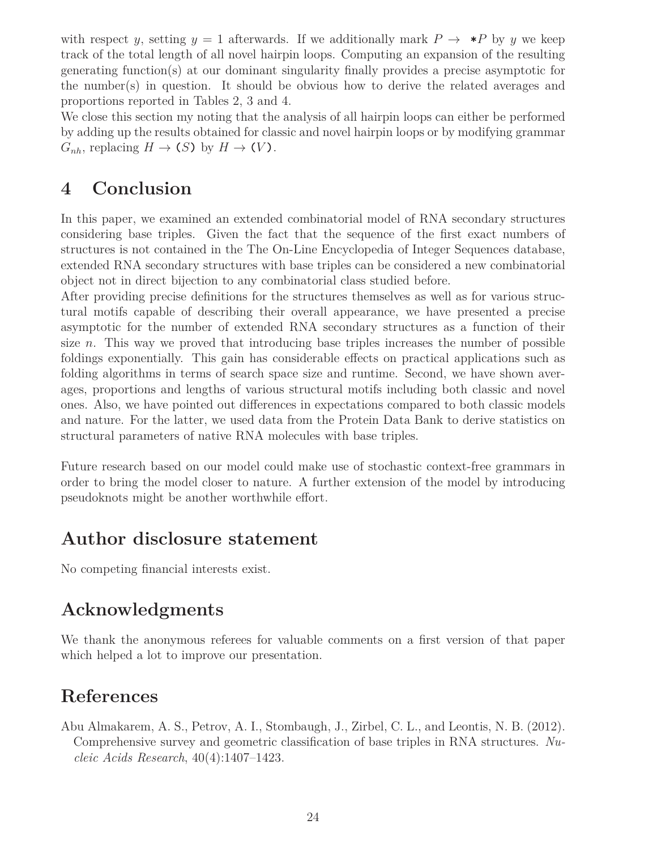with respect *y*, setting  $y = 1$  afterwards. If we additionally mark  $P \rightarrow *P$  by *y* we keep track of the total length of all novel hairpin loops. Computing an expansion of the resulting generating function(s) at our dominant singularity finally provides a precise asymptotic for the number(s) in question. It should be obvious how to derive the related averages and proportions reported in Tables 2, 3 and 4.

We close this section my noting that the analysis of all hairpin loops can either be performed by adding up the results obtained for classic and novel hairpin loops or by modifying grammar  $G_{nh}$ , replacing  $H \to (S)$  by  $H \to (V)$ .

### **4 Conclusion**

In this paper, we examined an extended combinatorial model of RNA secondary structures considering base triples. Given the fact that the sequence of the first exact numbers of structures is not contained in the The On-Line Encyclopedia of Integer Sequences database, extended RNA secondary structures with base triples can be considered a new combinatorial object not in direct bijection to any combinatorial class studied before.

After providing precise definitions for the structures themselves as well as for various structural motifs capable of describing their overall appearance, we have presented a precise asymptotic for the number of extended RNA secondary structures as a function of their size *n*. This way we proved that introducing base triples increases the number of possible foldings exponentially. This gain has considerable effects on practical applications such as folding algorithms in terms of search space size and runtime. Second, we have shown averages, proportions and lengths of various structural motifs including both classic and novel ones. Also, we have pointed out differences in expectations compared to both classic models and nature. For the latter, we used data from the Protein Data Bank to derive statistics on structural parameters of native RNA molecules with base triples.

Future research based on our model could make use of stochastic context-free grammars in order to bring the model closer to nature. A further extension of the model by introducing pseudoknots might be another worthwhile effort.

### **Author disclosure statement**

No competing financial interests exist.

## **Acknowledgments**

We thank the anonymous referees for valuable comments on a first version of that paper which helped a lot to improve our presentation.

## **References**

Abu Almakarem, A. S., Petrov, A. I., Stombaugh, J., Zirbel, C. L., and Leontis, N. B. (2012). Comprehensive survey and geometric classification of base triples in RNA structures. *Nucleic Acids Research*, 40(4):1407–1423.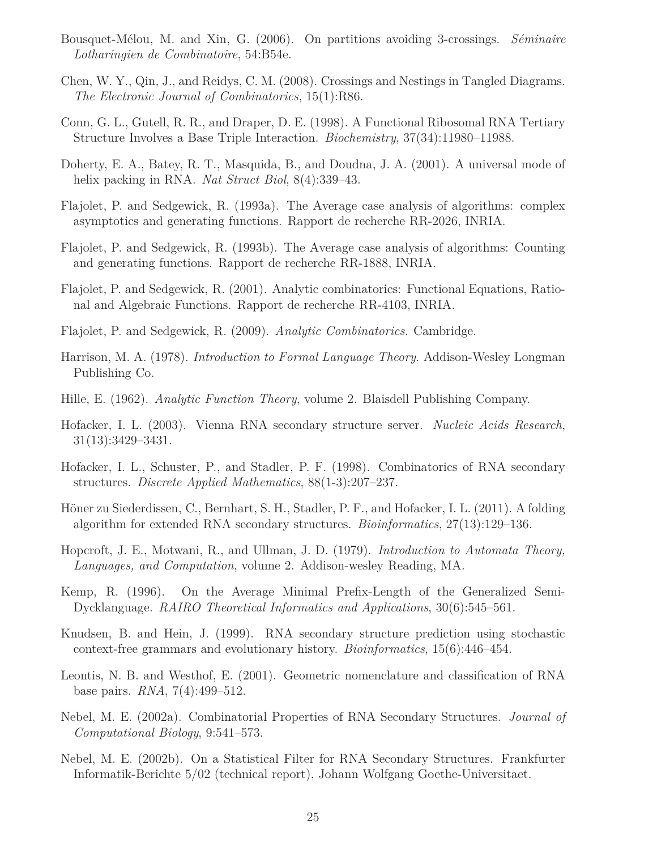- Bousquet-Mélou, M. and Xin, G. (2006). On partitions avoiding 3-crossings. *Séminaire Lotharingien de Combinatoire*, 54:B54e.
- Chen, W. Y., Qin, J., and Reidys, C. M. (2008). Crossings and Nestings in Tangled Diagrams. *The Electronic Journal of Combinatorics*, 15(1):R86.
- Conn, G. L., Gutell, R. R., and Draper, D. E. (1998). A Functional Ribosomal RNA Tertiary Structure Involves a Base Triple Interaction. *Biochemistry*, 37(34):11980–11988.
- Doherty, E. A., Batey, R. T., Masquida, B., and Doudna, J. A. (2001). A universal mode of helix packing in RNA. *Nat Struct Biol*, 8(4):339–43.
- Flajolet, P. and Sedgewick, R. (1993a). The Average case analysis of algorithms: complex asymptotics and generating functions. Rapport de recherche RR-2026, INRIA.
- Flajolet, P. and Sedgewick, R. (1993b). The Average case analysis of algorithms: Counting and generating functions. Rapport de recherche RR-1888, INRIA.
- Flajolet, P. and Sedgewick, R. (2001). Analytic combinatorics: Functional Equations, Rational and Algebraic Functions. Rapport de recherche RR-4103, INRIA.
- Flajolet, P. and Sedgewick, R. (2009). *Analytic Combinatorics*. Cambridge.
- Harrison, M. A. (1978). *Introduction to Formal Language Theory*. Addison-Wesley Longman Publishing Co.
- Hille, E. (1962). *Analytic Function Theory*, volume 2. Blaisdell Publishing Company.
- Hofacker, I. L. (2003). Vienna RNA secondary structure server. *Nucleic Acids Research*, 31(13):3429–3431.
- Hofacker, I. L., Schuster, P., and Stadler, P. F. (1998). Combinatorics of RNA secondary structures. *Discrete Applied Mathematics*, 88(1-3):207–237.
- Höner zu Siederdissen, C., Bernhart, S. H., Stadler, P. F., and Hofacker, I. L. (2011). A folding algorithm for extended RNA secondary structures. *Bioinformatics*, 27(13):129–136.
- Hopcroft, J. E., Motwani, R., and Ullman, J. D. (1979). *Introduction to Automata Theory, Languages, and Computation*, volume 2. Addison-wesley Reading, MA.
- Kemp, R. (1996). On the Average Minimal Prefix-Length of the Generalized Semi-Dycklanguage. *RAIRO Theoretical Informatics and Applications*, 30(6):545–561.
- Knudsen, B. and Hein, J. (1999). RNA secondary structure prediction using stochastic context-free grammars and evolutionary history. *Bioinformatics*, 15(6):446–454.
- Leontis, N. B. and Westhof, E. (2001). Geometric nomenclature and classification of RNA base pairs. *RNA*, 7(4):499–512.
- Nebel, M. E. (2002a). Combinatorial Properties of RNA Secondary Structures. *Journal of Computational Biology*, 9:541–573.
- Nebel, M. E. (2002b). On a Statistical Filter for RNA Secondary Structures. Frankfurter Informatik-Berichte 5/02 (technical report), Johann Wolfgang Goethe-Universitaet.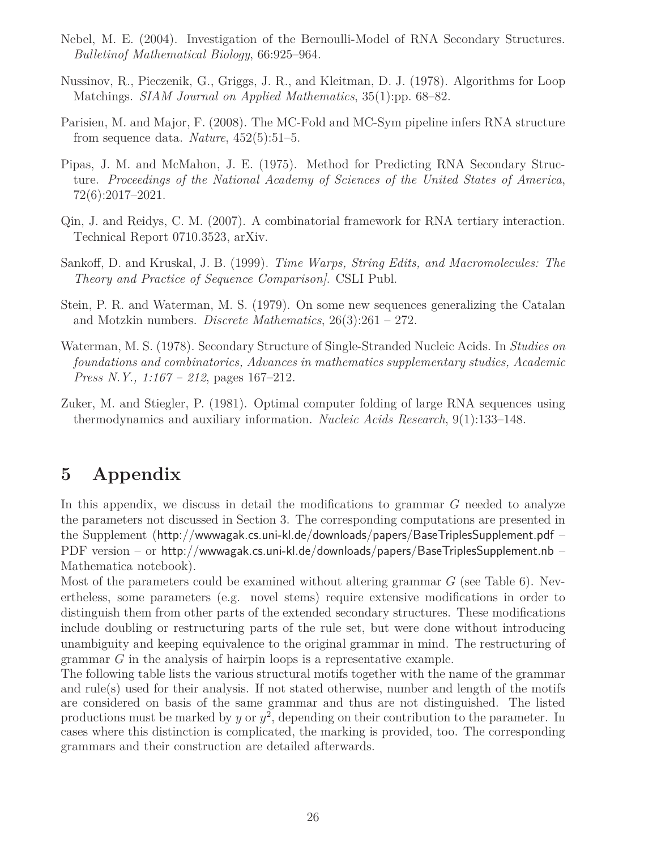- Nebel, M. E. (2004). Investigation of the Bernoulli-Model of RNA Secondary Structures. *Bulletinof Mathematical Biology*, 66:925–964.
- Nussinov, R., Pieczenik, G., Griggs, J. R., and Kleitman, D. J. (1978). Algorithms for Loop Matchings. *SIAM Journal on Applied Mathematics*, 35(1):pp. 68–82.
- Parisien, M. and Major, F. (2008). The MC-Fold and MC-Sym pipeline infers RNA structure from sequence data. *Nature*, 452(5):51–5.
- Pipas, J. M. and McMahon, J. E. (1975). Method for Predicting RNA Secondary Structure. *Proceedings of the National Academy of Sciences of the United States of America*, 72(6):2017–2021.
- Qin, J. and Reidys, C. M. (2007). A combinatorial framework for RNA tertiary interaction. Technical Report 0710.3523, arXiv.
- Sankoff, D. and Kruskal, J. B. (1999). *Time Warps, String Edits, and Macromolecules: The Theory and Practice of Sequence Comparison]*. CSLI Publ.
- Stein, P. R. and Waterman, M. S. (1979). On some new sequences generalizing the Catalan and Motzkin numbers. *Discrete Mathematics*, 26(3):261 – 272.
- Waterman, M. S. (1978). Secondary Structure of Single-Stranded Nucleic Acids. In *Studies on foundations and combinatorics, Advances in mathematics supplementary studies, Academic Press N.Y., 1:167 – 212*, pages 167–212.
- Zuker, M. and Stiegler, P. (1981). Optimal computer folding of large RNA sequences using thermodynamics and auxiliary information. *Nucleic Acids Research*, 9(1):133–148.

## **5 Appendix**

In this appendix, we discuss in detail the modifications to grammar *G* needed to analyze the parameters not discussed in Section 3. The corresponding computations are presented in the Supplement (http://wwwagak.cs.uni-kl.de/downloads/papers/BaseTriplesSupplement.pdf – PDF version – or http://wwwagak.cs.uni-kl.de/downloads/papers/BaseTriplesSupplement.nb – Mathematica notebook).

Most of the parameters could be examined without altering grammar *G* (see Table 6). Nevertheless, some parameters (e.g. novel stems) require extensive modifications in order to distinguish them from other parts of the extended secondary structures. These modifications include doubling or restructuring parts of the rule set, but were done without introducing unambiguity and keeping equivalence to the original grammar in mind. The restructuring of grammar *G* in the analysis of hairpin loops is a representative example.

The following table lists the various structural motifs together with the name of the grammar and rule(s) used for their analysis. If not stated otherwise, number and length of the motifs are considered on basis of the same grammar and thus are not distinguished. The listed productions must be marked by *y* or  $y^2$ , depending on their contribution to the parameter. In cases where this distinction is complicated, the marking is provided, too. The corresponding grammars and their construction are detailed afterwards.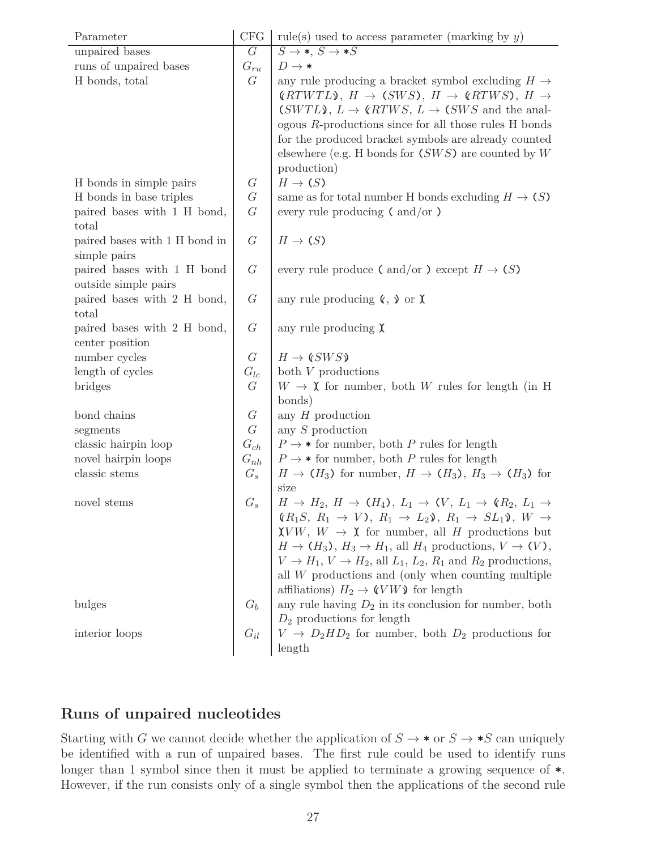| Parameter                     | <b>CFG</b>   | rule(s) used to access parameter (marking by $y$ )                                                                           |
|-------------------------------|--------------|------------------------------------------------------------------------------------------------------------------------------|
| unpaired bases                | G            | $S \rightarrow *$ , $S \rightarrow *S$                                                                                       |
| runs of unpaired bases        | $G_{ru}$     | $D \rightarrow *$                                                                                                            |
| H bonds, total                | G            | any rule producing a bracket symbol excluding $H \rightarrow$                                                                |
|                               |              | $\langle RTWTL\rangle, H \rightarrow (SWS), H \rightarrow \langle RTWS), H \rightarrow$                                      |
|                               |              | $(SWTL)$ , $L \rightarrow (RTWS, L \rightarrow (SWS$ and the anal-                                                           |
|                               |              | ogous $R$ -productions since for all those rules $H$ bonds                                                                   |
|                               |              | for the produced bracket symbols are already counted                                                                         |
|                               |              | elsewhere (e.g. H bonds for $(SWS)$ are counted by W                                                                         |
|                               |              | production)                                                                                                                  |
| H bonds in simple pairs       | $\mathcal G$ | $H\to(S)$                                                                                                                    |
| H bonds in base triples       | $\cal G$     | same as for total number H bonds excluding $H \to (S)$                                                                       |
| paired bases with 1 H bond,   | G            | every rule producing $\epsilon$ and/or $\epsilon$                                                                            |
| total                         |              |                                                                                                                              |
| paired bases with 1 H bond in | G            | $H\to(S)$                                                                                                                    |
| simple pairs                  |              |                                                                                                                              |
| paired bases with 1 H bond    | G            | every rule produce ( and/or ) except $H \to (S)$                                                                             |
| outside simple pairs          |              |                                                                                                                              |
| paired bases with 2 H bond,   | G            | any rule producing $\mathfrak{C}, \mathfrak{D}$ or $\mathfrak{X}$                                                            |
| total                         |              |                                                                                                                              |
| paired bases with 2 H bond,   | G            | any rule producing $\chi$                                                                                                    |
| center position               |              |                                                                                                                              |
| number cycles                 | G            | $H \to \langle SWS \rangle$                                                                                                  |
| length of cycles              | $G_{lc}$     | both $V$ productions                                                                                                         |
| bridges                       | $\mathcal G$ | $W \rightarrow \mathbf{X}$ for number, both W rules for length (in H                                                         |
|                               |              | bonds)                                                                                                                       |
| bond chains                   | $\cal G$     | any $H$ production                                                                                                           |
| segments                      | G            | any $S$ production                                                                                                           |
| classic hairpin loop          | $G_{ch}$     | $P \rightarrow *$ for number, both P rules for length                                                                        |
| novel hairpin loops           | $G_{nh}$     | $P \rightarrow *$ for number, both P rules for length                                                                        |
| classic stems                 | $G_s$        | $H \to (H_3)$ for number, $H \to (H_3)$ , $H_3 \to (H_3)$ for                                                                |
|                               |              | size                                                                                                                         |
| novel stems                   | $G_s$        | $H \rightarrow H_2$ , $H \rightarrow (H_4)$ , $L_1 \rightarrow (V, L_1 \rightarrow (R_2, L_1 \rightarrow$                    |
|                               |              | $(R_1S, R_1 \rightarrow V), R_1 \rightarrow L_2\mathcal{Y}, R_1 \rightarrow SL_1\mathcal{Y}, W \rightarrow$                  |
|                               |              | $\chi VW, W \to \chi$ for number, all H productions but<br>$H \to (H_3), H_3 \to H_1$ , all $H_4$ productions, $V \to (V)$ , |
|                               |              |                                                                                                                              |
|                               |              | $V \to H_1, V \to H_2$ , all $L_1, L_2, R_1$ and $R_2$ productions,                                                          |
|                               |              | all $W$ productions and (only when counting multiple                                                                         |
|                               |              | affiliations) $H_2 \to \mathcal{C}VW\mathcal{V}$ for length                                                                  |
| bulges                        |              | any rule having $D_2$ in its conclusion for number, both                                                                     |
|                               |              | $D_2$ productions for length $V\,\rightarrow\,D_2HD_2$ for number, both $D_2$ productions for                                |
| interior loops                |              |                                                                                                                              |
|                               |              | length                                                                                                                       |

### **Runs of unpaired nucleotides**

Starting with *G* we cannot decide whether the application of  $S \to \ast S$  or  $S \to \ast S$  can uniquely be identified with a run of unpaired bases. The first rule could be used to identify runs longer than 1 symbol since then it must be applied to terminate a growing sequence of **\***. However, if the run consists only of a single symbol then the applications of the second rule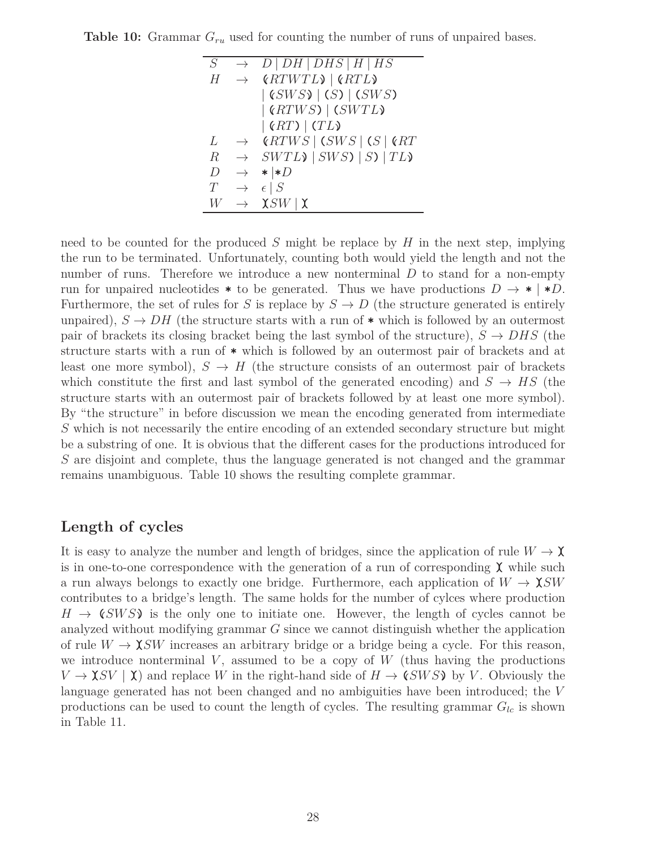| (RTWTL)   (RTL)<br>Н<br>$\rightarrow$<br>$ $ (SWS) $ $ (S) $ $ (SWS)<br>  (RTWS)   (SWTL)<br>$ \left(RT\right) $ (TL)<br>(RTWS   (SWS   (S   6RT<br>L<br>$\rightarrow$<br>$\rightarrow$ SWTL $\rightarrow$   SWS $\rightarrow$   SV $\rightarrow$<br>$\boldsymbol{R}$<br>$\cdot \cdot \cdot D$<br>D<br>$\rightarrow$<br>$\epsilon \mid S$<br>T<br>$\rightarrow$ | S | $\rightarrow$ | D DH DHS H HS |
|-----------------------------------------------------------------------------------------------------------------------------------------------------------------------------------------------------------------------------------------------------------------------------------------------------------------------------------------------------------------|---|---------------|---------------|
|                                                                                                                                                                                                                                                                                                                                                                 |   |               |               |
|                                                                                                                                                                                                                                                                                                                                                                 |   |               |               |
|                                                                                                                                                                                                                                                                                                                                                                 |   |               |               |
|                                                                                                                                                                                                                                                                                                                                                                 |   |               |               |
|                                                                                                                                                                                                                                                                                                                                                                 |   |               |               |
|                                                                                                                                                                                                                                                                                                                                                                 |   |               |               |
|                                                                                                                                                                                                                                                                                                                                                                 |   |               |               |
|                                                                                                                                                                                                                                                                                                                                                                 |   |               |               |
| $\chi$ SW   $\chi$<br>W<br>$\rightarrow$                                                                                                                                                                                                                                                                                                                        |   |               |               |

**Table 10:** Grammar  $G_{ru}$  used for counting the number of runs of unpaired bases.

need to be counted for the produced *S* might be replace by *H* in the next step, implying the run to be terminated. Unfortunately, counting both would yield the length and not the number of runs. Therefore we introduce a new nonterminal D to stand for a non-empty run for unpaired nucleotides  $*$  to be generated. Thus we have productions  $D \to * | *D$ . Furthermore, the set of rules for *S* is replace by  $S \to D$  (the structure generated is entirely unpaired),  $S \to DH$  (the structure starts with a run of  $*$  which is followed by an outermost pair of brackets its closing bracket being the last symbol of the structure),  $S \rightarrow DHS$  (the structure starts with a run of **\*** which is followed by an outermost pair of brackets and at least one more symbol),  $S \to H$  (the structure consists of an outermost pair of brackets which constitute the first and last symbol of the generated encoding) and  $S \to HS$  (the structure starts with an outermost pair of brackets followed by at least one more symbol). By "the structure" in before discussion we mean the encoding generated from intermediate *S* which is not necessarily the entire encoding of an extended secondary structure but might be a substring of one. It is obvious that the different cases for the productions introduced for *S* are disjoint and complete, thus the language generated is not changed and the grammar remains unambiguous. Table 10 shows the resulting complete grammar.

#### **Length of cycles**

It is easy to analyze the number and length of bridges, since the application of rule  $W \to \mathbf{X}$ is in one-to-one correspondence with the generation of a run of corresponding  $\chi$  while such a run always belongs to exactly one bridge. Furthermore, each application of  $W \to \chi SW$ contributes to a bridge's length. The same holds for the number of cylces where production  $H \to \zeta$  *SWS* is the only one to initiate one. However, the length of cycles cannot be analyzed without modifying grammar *G* since we cannot distinguish whether the application of rule  $W \to \chi SW$  increases an arbitrary bridge or a bridge being a cycle. For this reason, we introduce nonterminal  $V$ , assumed to be a copy of  $W$  (thus having the productions  $V \to \chi SV \mid \chi$ ) and replace *W* in the right-hand side of  $H \to \chi SWS$  by *V*. Obviously the language generated has not been changed and no ambiguities have been introduced; the *V* productions can be used to count the length of cycles. The resulting grammar  $G_{lc}$  is shown in Table 11.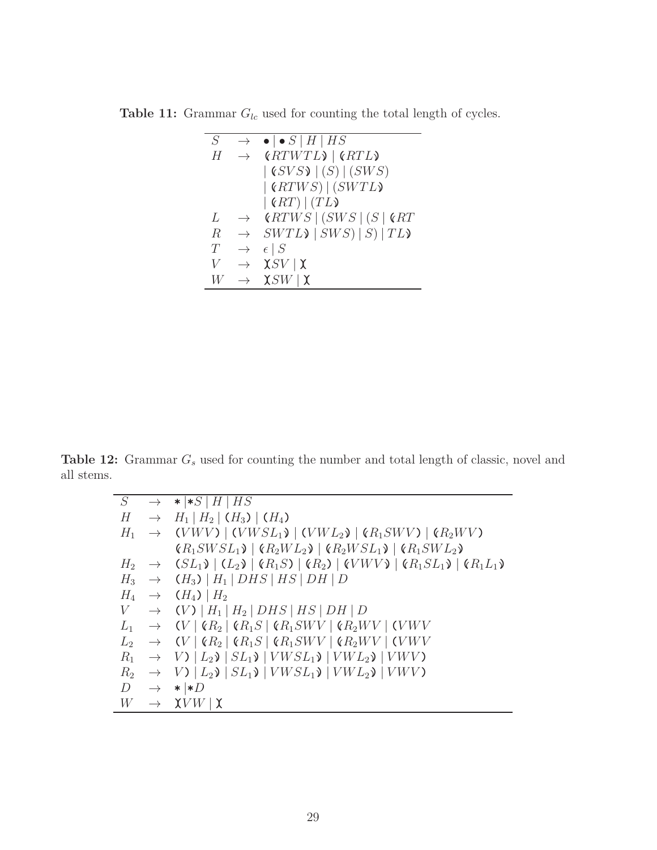**Table 11:** Grammar  $G_{lc}$  used for counting the total length of cycles.

| $\varsigma$ | $\rightarrow$ | $\bullet \bullet S$   H   HS                                       |
|-------------|---------------|--------------------------------------------------------------------|
| H           | $\rightarrow$ | (RTWTL)   (RTL)                                                    |
|             |               | $\vert$ ( <i>SVS</i> ) $\vert$ ( <i>S</i> ) $\vert$ ( <i>SWS</i> ) |
|             |               | (RTWS)   (SWTL)                                                    |
|             |               | $ \left(RT\right) \left(TL\right)$                                 |
| L           | $\rightarrow$ | $\mathcal{C}RTWS \mid (SWS \mid (S \mid \mathcal{C}RT))$           |
| $\mathbb R$ | $\rightarrow$ | $SWTL$ $\mid SWS \mid S \mid TL$                                   |
| T           | $\rightarrow$ | $\epsilon \mid S$                                                  |
| V           | $\rightarrow$ | $\chi$ SV   $\chi$                                                 |
|             |               | $\chi$ SW   $\chi$                                                 |

**Table 12:** Grammar *G<sup>s</sup>* used for counting the number and total length of classic, novel and all stems.

|                |               | $S \rightarrow * *S H HS$                                                                                           |
|----------------|---------------|---------------------------------------------------------------------------------------------------------------------|
| Н              | $\rightarrow$ | $H_1   H_2   (H_3)   (H_4)$                                                                                         |
| $H_1$          |               | $\rightarrow$ (VWV)   (VWSL <sub>1</sub> )   (VWL <sub>2</sub> )   (R <sub>1</sub> SWV)   (R <sub>2</sub> WV)       |
|                |               | $(R_1SWSL_1)$ $(R_2WL_2)$ $(R_2WSL_1)$ $(R_1SWL_2)$                                                                 |
|                |               | $H_2 \rightarrow (SL_1) \mid (L_2) \mid (R_1S) \mid (R_2) \mid (VWV) \mid (R_1SL_1) \mid (R_1L_1)$                  |
|                |               | $H_3 \rightarrow (H_3)   H_1   DHS   HS   DH   D$                                                                   |
|                |               | $H_4 \rightarrow (H_4)$   $H_2$                                                                                     |
| V              |               | $\rightarrow$ (V)   $H_1$   $H_2$   DHS   HS   DH   D                                                               |
|                |               | $L_1 \rightarrow (V \mid \mathcal{R}_2 \mid \mathcal{R}_1 S \mid \mathcal{R}_1 SWV \mid \mathcal{R}_2 WW \mid (VWV$ |
|                |               | $L_2 \rightarrow (V \mid \mathcal{R}_2 \mid \mathcal{R}_1 S \mid \mathcal{R}_1 SWV \mid \mathcal{R}_2 WV \mid (VWV$ |
| $R_1$          |               | $\rightarrow$ V) $\mid$ $L_2$ $\mid$ $SL_1$ $\mid$ $VWSL_1$ $\mid$ $VWL_2$ $\mid$ $VWV$                             |
| R <sub>2</sub> |               | $\rightarrow$ V) $ L_2$ $\rangle$ $ SL_1$ $\rangle$ $ VWSL_1$ $\rangle$ $ VWL_2$ $\rangle$ $ VWV$                   |
| D              |               | $\rightarrow * *D$                                                                                                  |
| W              |               | $\rightarrow \chi V W \,   \, \chi$                                                                                 |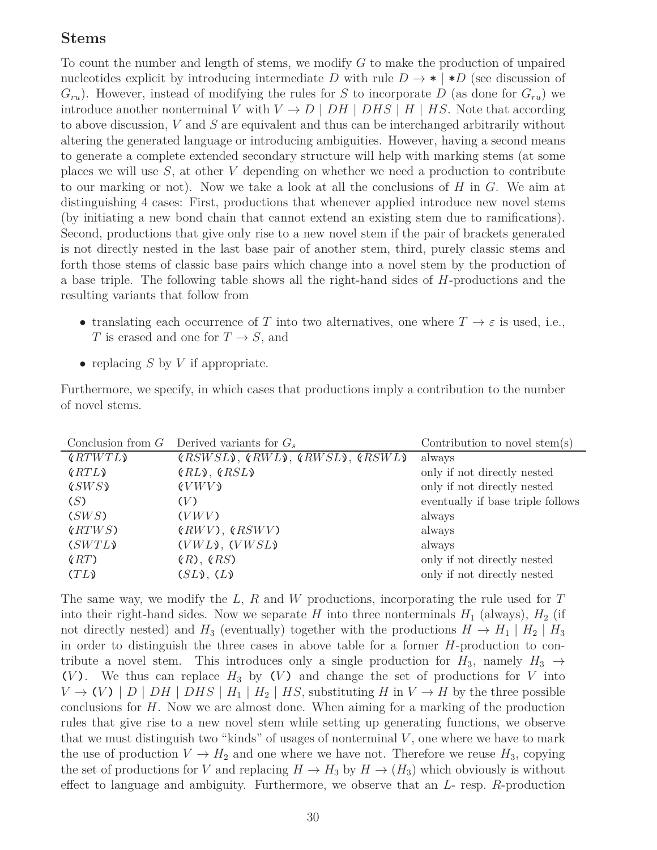#### **Stems**

To count the number and length of stems, we modify *G* to make the production of unpaired nucleotides explicit by introducing intermediate *D* with rule  $D \rightarrow * \uparrow *D$  (see discussion of  $G_{ru}$ ). However, instead of modifying the rules for *S* to incorporate *D* (as done for  $G_{ru}$ ) we introduce another nonterminal *V* with  $V \to D \mid DH \mid DHS \mid H \mid HS$ . Note that according to above discussion, *V* and *S* are equivalent and thus can be interchanged arbitrarily without altering the generated language or introducing ambiguities. However, having a second means to generate a complete extended secondary structure will help with marking stems (at some places we will use *S*, at other *V* depending on whether we need a production to contribute to our marking or not). Now we take a look at all the conclusions of *H* in *G*. We aim at distinguishing 4 cases: First, productions that whenever applied introduce new novel stems (by initiating a new bond chain that cannot extend an existing stem due to ramifications). Second, productions that give only rise to a new novel stem if the pair of brackets generated is not directly nested in the last base pair of another stem, third, purely classic stems and forth those stems of classic base pairs which change into a novel stem by the production of a base triple. The following table shows all the right-hand sides of *H*-productions and the resulting variants that follow from

- translating each occurrence of *T* into two alternatives, one where  $T \to \varepsilon$  is used, i.e., *T* is erased and one for  $T \rightarrow S$ , and
- replacing *S* by *V* if appropriate.

|                 |  |  |  | Furthermore, we specify, in which cases that productions imply a contribution to the number |  |
|-----------------|--|--|--|---------------------------------------------------------------------------------------------|--|
| of novel stems. |  |  |  |                                                                                             |  |

|         | Conclusion from $G$ Derived variants for $G_s$ | Contribution to novel stem(s)     |
|---------|------------------------------------------------|-----------------------------------|
| (RTWTL) | $(RSWSL)$ , $(RWL)$ , $(RWSL)$ , $(RSWL)$      | always                            |
| (RTL)   | $(RL)$ , $(RSL)$                               | only if not directly nested       |
| (SWS)   | (VWV)                                          | only if not directly nested       |
| (S)     | (V)                                            | eventually if base triple follows |
| (SWS)   | (VWV)                                          | always                            |
| (RTWS)  | $(RWV)$ , $(RSWV)$                             | always                            |
| (SWTL)  | $(VWL)$ , $(VWSL)$                             | always                            |
| (RT)    | (R), (RS)                                      | only if not directly nested       |
| (TL)    | $(SL)$ , $(L)$                                 | only if not directly nested       |
|         |                                                |                                   |

The same way, we modify the *L*, *R* and *W* productions, incorporating the rule used for *T* into their right-hand sides. Now we separate *H* into three nonterminals  $H_1$  (always),  $H_2$  (if not directly nested) and  $H_3$  (eventually) together with the productions  $H \to H_1 \mid H_2 \mid H_3$ in order to distinguish the three cases in above table for a former *H*-production to contribute a novel stem. This introduces only a single production for  $H_3$ , namely  $H_3 \rightarrow$ (*V*). We thus can replace  $H_3$  by (*V*) and change the set of productions for *V* into  $V \rightarrow (V) | D | DH | DHS | H_1 | H_2 | HS$ , substituting *H* in  $V \rightarrow H$  by the three possible conclusions for *H*. Now we are almost done. When aiming for a marking of the production rules that give rise to a new novel stem while setting up generating functions, we observe that we must distinguish two "kinds" of usages of nonterminal *V* , one where we have to mark the use of production  $V \to H_2$  and one where we have not. Therefore we reuse  $H_3$ , copying the set of productions for *V* and replacing  $H \to H_3$  by  $H \to (H_3)$  which obviously is without effect to language and ambiguity. Furthermore, we observe that an *L*- resp. *R*-production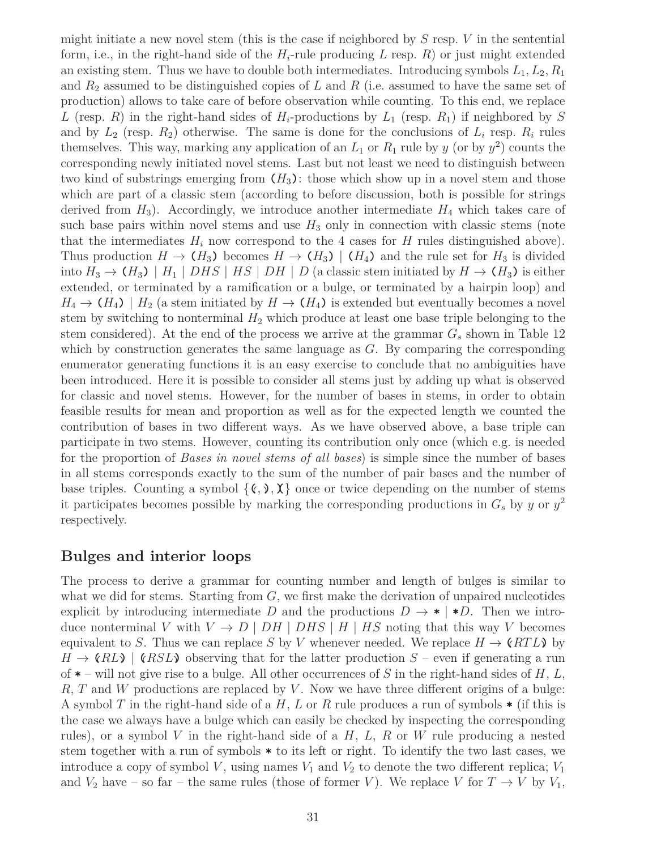might initiate a new novel stem (this is the case if neighbored by *S* resp. *V* in the sentential form, i.e., in the right-hand side of the  $H_i$ -rule producing  $L$  resp.  $R$ ) or just might extended an existing stem. Thus we have to double both intermediates. Introducing symbols *L*1*, L*2*, R*<sup>1</sup> and *R*<sup>2</sup> assumed to be distinguished copies of *L* and *R* (i.e. assumed to have the same set of production) allows to take care of before observation while counting. To this end, we replace *L* (resp. *R*) in the right-hand sides of  $H_i$ -productions by  $L_1$  (resp.  $R_1$ ) if neighbored by *S* and by  $L_2$  (resp.  $R_2$ ) otherwise. The same is done for the conclusions of  $L_i$  resp.  $R_i$  rules themselves. This way, marking any application of an  $L_1$  or  $R_1$  rule by  $y$  (or by  $y^2$ ) counts the corresponding newly initiated novel stems. Last but not least we need to distinguish between two kind of substrings emerging from  $(H_3)$ : those which show up in a novel stem and those which are part of a classic stem (according to before discussion, both is possible for strings derived from  $H_3$ ). Accordingly, we introduce another intermediate  $H_4$  which takes care of such base pairs within novel stems and use  $H_3$  only in connection with classic stems (note that the intermediates  $H_i$  now correspond to the 4 cases for  $H$  rules distinguished above). Thus production  $H \to (H_3)$  becomes  $H \to (H_3)$  |  $(H_4)$  and the rule set for  $H_3$  is divided into  $H_3 \to (H_3)$  |  $H_1$  |  $DHS$  |  $HS$  |  $DH$  |  $D$  (a classic stem initiated by  $H \to (H_3)$  is either extended, or terminated by a ramification or a bulge, or terminated by a hairpin loop) and  $H_4 \rightarrow (H_4)$  |  $H_2$  (a stem initiated by  $H \rightarrow (H_4)$ ) is extended but eventually becomes a novel stem by switching to nonterminal  $H_2$  which produce at least one base triple belonging to the stem considered). At the end of the process we arrive at the grammar *G<sup>s</sup>* shown in Table 12 which by construction generates the same language as *G*. By comparing the corresponding enumerator generating functions it is an easy exercise to conclude that no ambiguities have been introduced. Here it is possible to consider all stems just by adding up what is observed for classic and novel stems. However, for the number of bases in stems, in order to obtain feasible results for mean and proportion as well as for the expected length we counted the contribution of bases in two different ways. As we have observed above, a base triple can participate in two stems. However, counting its contribution only once (which e.g. is needed for the proportion of *Bases in novel stems of all bases*) is simple since the number of bases in all stems corresponds exactly to the sum of the number of pair bases and the number of base triples. Counting a symbol  $\{(\zeta, \zeta), \zeta\}$  once or twice depending on the number of stems it participates becomes possible by marking the corresponding productions in  $G_s$  by *y* or  $y^2$ respectively.

### **Bulges and interior loops**

The process to derive a grammar for counting number and length of bulges is similar to what we did for stems. Starting from *G*, we first make the derivation of unpaired nucleotides explicit by introducing intermediate *D* and the productions  $D \rightarrow * \uparrow *D$ . Then we introduce nonterminal *V* with  $V \to D \mid DH \mid DHS \mid H \mid HS$  noting that this way *V* becomes equivalent to *S*. Thus we can replace *S* by *V* whenever needed. We replace  $H \to \langle RTL \rangle$  by  $H \to \ell R L$  **(** $RSL$ ) observing that for the latter production  $S$  – even if generating a run of **\*** – will not give rise to a bulge. All other occurrences of *S* in the right-hand sides of *H*, *L*, *R*, *T* and *W* productions are replaced by *V* . Now we have three different origins of a bulge: A symbol *T* in the right-hand side of a *H*, *L* or *R* rule produces a run of symbols **\*** (if this is the case we always have a bulge which can easily be checked by inspecting the corresponding rules), or a symbol *V* in the right-hand side of a *H*, *L*, *R* or *W* rule producing a nested stem together with a run of symbols **\*** to its left or right. To identify the two last cases, we introduce a copy of symbol *V*, using names  $V_1$  and  $V_2$  to denote the two different replica;  $V_1$ and  $V_2$  have – so far – the same rules (those of former *V*). We replace *V* for  $T \to V$  by  $V_1$ ,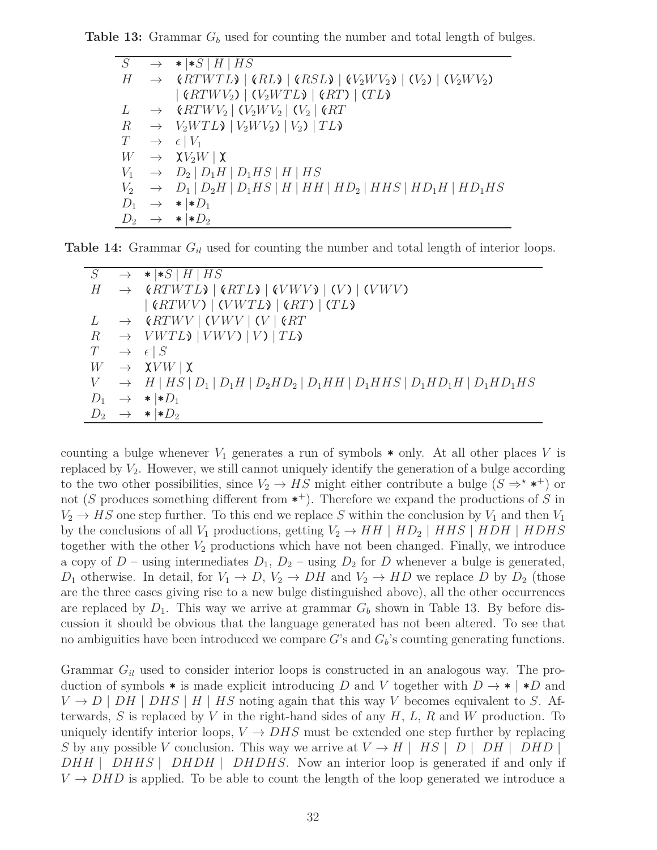**Table 13:** Grammar *G<sup>b</sup>* used for counting the number and total length of bulges.

| $S_{-}$          | $\rightarrow$ *  *S   H   HS                                                               |
|------------------|--------------------------------------------------------------------------------------------|
|                  | $H \rightarrow (RTWTL)   (RL)   (RSL)   (V_2WV_2)   (V_2)   (V_2WV_2)$                     |
|                  | $ \left(RTWV_2\right) \left(V_2WTL\right) \left(RT\right) \left(TL\right)$                 |
| L                | $\rightarrow$ (RTWV <sub>2</sub>   (V <sub>2</sub> WV <sub>2</sub>   (V <sub>2</sub>   (RT |
| $\boldsymbol{R}$ | $\rightarrow V_2WTL$ ) $ V_2WV_2 V_2 TL$                                                   |
| T                | $\rightarrow$ $\epsilon$   $V_1$                                                           |
| W                | $\rightarrow \chi V_2 W \, \,\chi$                                                         |
|                  | $V_1 \rightarrow D_2   D_1H   D_1HS   H   HS$                                              |
|                  | $V_2 \rightarrow D_1   D_2H   D_1HS   H   HH   HD_2   HHS   HD_1H   HD_1HS$                |
| $D_1$            | $\rightarrow$ *  * $D_1$                                                                   |
|                  | $D_2 \rightarrow * \mid *D_2$                                                              |

**Table 14:** Grammar *Gil* used for counting the number and total length of interior loops.

| S     | $\rightarrow$ | $\star$   $\star$ S   H   HS                                                                         |
|-------|---------------|------------------------------------------------------------------------------------------------------|
| H     |               | $\rightarrow$ (RTWTL) $ $ (RTL) $ $ (VWV) $ $ (V) $ $ (VWV)                                          |
|       |               | (RTWV)   (VWTL)   (RT)   (TL)                                                                        |
| L     |               | $\rightarrow$ (RTWV   (VWV   (V   (RT                                                                |
|       |               | $R \rightarrow VWTL$ ) $  VWV$ ) $  V$ ) $  TL$                                                      |
| T     |               | $\rightarrow$ $\epsilon$ $S$                                                                         |
| W     |               | $\rightarrow \chi V W \, \,\chi$                                                                     |
|       |               | $V \rightarrow H   HS   D_1   D_1 H   D_2 H D_2   D_1 H H   D_1 H H S   D_1 H D_1 H   D_1 H D_1 H S$ |
| $D_1$ |               | $\rightarrow$ * $\ast D_1$                                                                           |
|       |               | $D_2 \rightarrow * \mid *D_2$                                                                        |

counting a bulge whenever  $V_1$  generates a run of symbols  $*$  only. At all other places V is replaced by *V*2. However, we still cannot uniquely identify the generation of a bulge according to the two other possibilities, since  $V_2 \to HS$  might either contribute a bulge  $(S \Rightarrow^* \ast^+)$  or not (*S* produces something different from **\*** <sup>+</sup>). Therefore we expand the productions of *S* in  $V_2 \rightarrow HS$  one step further. To this end we replace *S* within the conclusion by  $V_1$  and then  $V_1$ by the conclusions of all  $V_1$  productions, getting  $V_2 \rightarrow HH \mid HD_2 \mid HHS \mid HDH \mid HDHS$ together with the other  $V_2$  productions which have not been changed. Finally, we introduce a copy of  $D$  – using intermediates  $D_1, D_2$  – using  $D_2$  for  $D$  whenever a bulge is generated, *D*<sub>1</sub> otherwise. In detail, for  $V_1 \rightarrow D$ ,  $V_2 \rightarrow DH$  and  $V_2 \rightarrow HD$  we replace *D* by *D*<sub>2</sub> (those are the three cases giving rise to a new bulge distinguished above), all the other occurrences are replaced by  $D_1$ . This way we arrive at grammar  $G_b$  shown in Table 13. By before discussion it should be obvious that the language generated has not been altered. To see that no ambiguities have been introduced we compare *G*'s and *Gb*'s counting generating functions.

Grammar *Gil* used to consider interior loops is constructed in an analogous way. The production of symbols  $*$  is made explicit introducing *D* and *V* together with  $D \rightarrow * | *D$  and  $V \rightarrow D \mid DH \mid DHS \mid H \mid HS$  noting again that this way *V* becomes equivalent to *S*. Afterwards, *S* is replaced by *V* in the right-hand sides of any *H*, *L*, *R* and *W* production. To uniquely identify interior loops,  $V \to DHS$  must be extended one step further by replacing *S* by any possible *V* conclusion. This way we arrive at  $V \rightarrow H$  | *HS* | *D* | *DH* | *DHD* | *DHH* | *DHHS* | *DHDH* | *DHDHS*. Now an interior loop is generated if and only if  $V \rightarrow DHD$  is applied. To be able to count the length of the loop generated we introduce a